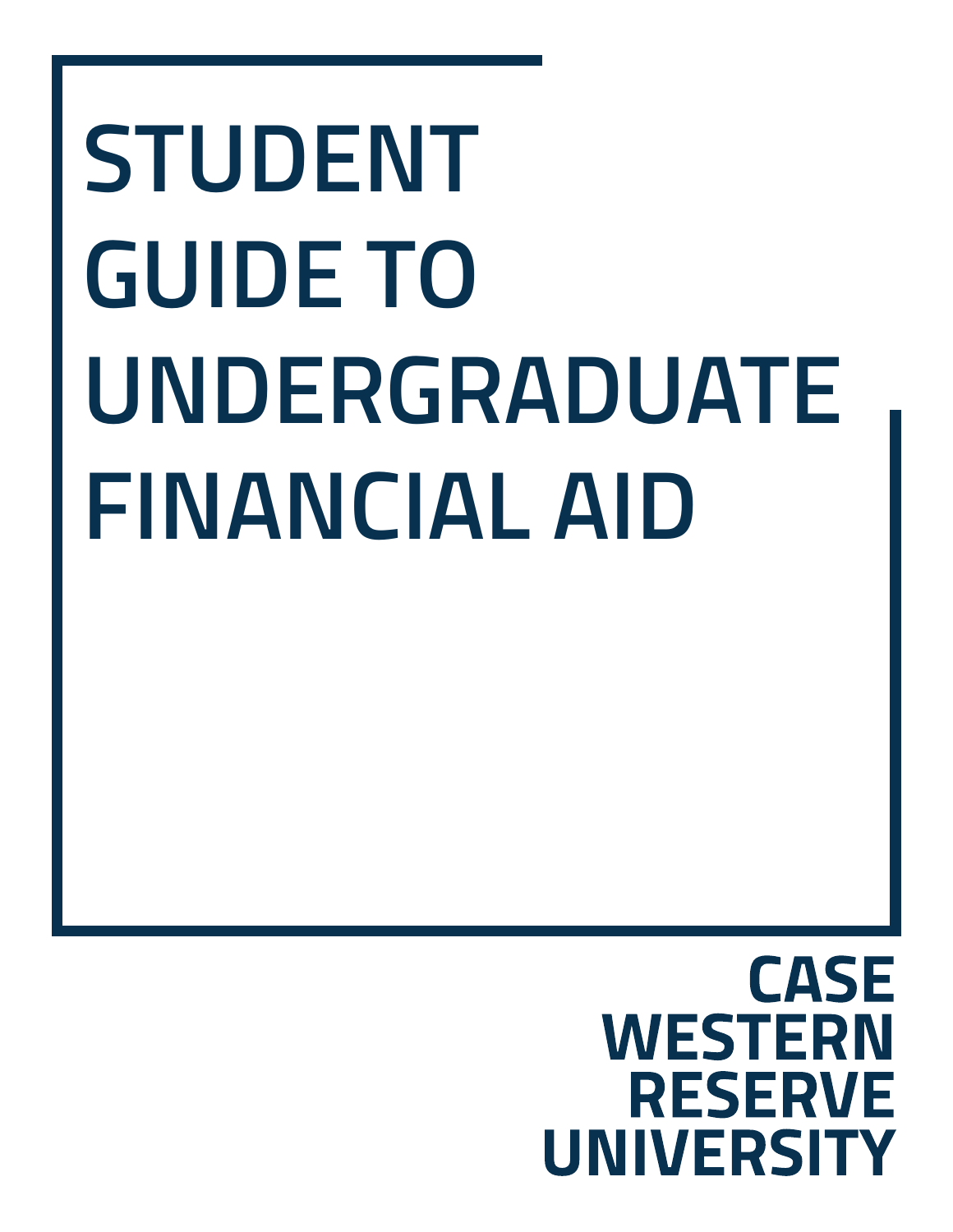# **STUDENT GUIDE TO UNDERGRADUATE FINANCIAL AID**

# **CASE WESTERN** RESERVE **UNIVERSITY**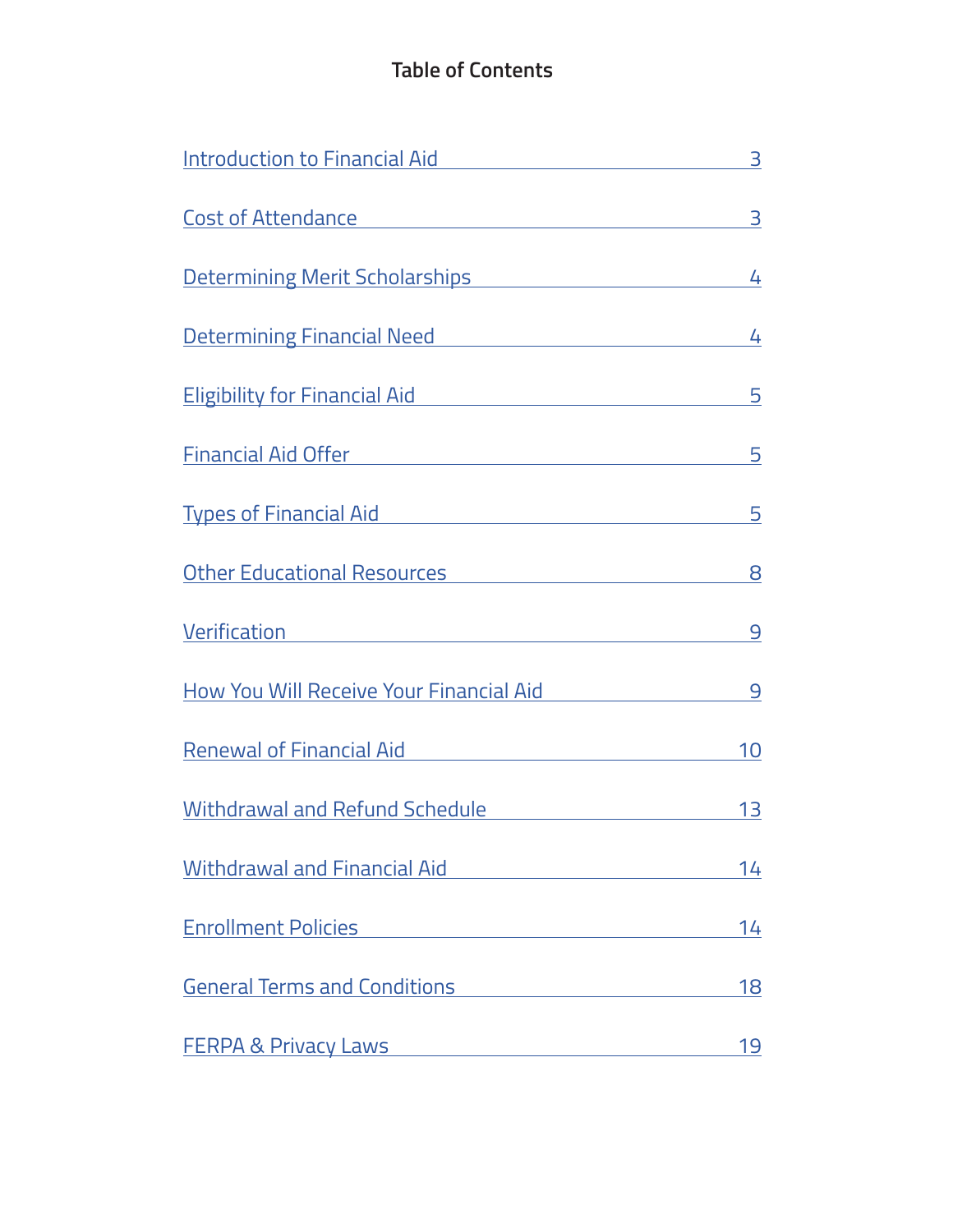# **Table of Contents**

| <b>Introduction to Financial Aid</b>                                                                                                                                                                                                 | 3  |
|--------------------------------------------------------------------------------------------------------------------------------------------------------------------------------------------------------------------------------------|----|
|                                                                                                                                                                                                                                      | 3  |
|                                                                                                                                                                                                                                      | 4  |
| Determining Financial Need <b>National Second Contract Contract Contract Contract Contract Contract Contract Contract Contract Contract Contract Contract Contract Contract Contract Contract Contract Contract Contract Contrac</b> | 4  |
| Eligibility for Financial Aid <b>Eligibility</b> for Financial Aid                                                                                                                                                                   | 5  |
| Financial Aid Offer <b>Container and Aid Offer</b>                                                                                                                                                                                   | 5  |
|                                                                                                                                                                                                                                      | 5  |
| Other Educational Resources                                                                                                                                                                                                          | 8  |
| <b>Verification Contraction</b>                                                                                                                                                                                                      | 9  |
| How You Will Receive Your Financial Aid                                                                                                                                                                                              | 9  |
| Renewal of Financial Aid                                                                                                                                                                                                             | 10 |
| <b>Withdrawal and Refund Schedule</b>                                                                                                                                                                                                | 13 |
| <b>Withdrawal and Financial Aid</b>                                                                                                                                                                                                  | 14 |
| <b>Enrollment Policies</b><br><u> 1980 - Johann Barn, mars ann an t-Amhain an t-Amhain an t-Amhain an t-Amhain an t-Amhain an t-Amhain an t-A</u>                                                                                    | 14 |
| <b>General Terms and Conditions</b><br>$\mathcal{L}^{\mathcal{L}}(\mathcal{L}^{\mathcal{L}})$ and $\mathcal{L}^{\mathcal{L}}(\mathcal{L}^{\mathcal{L}})$ and $\mathcal{L}^{\mathcal{L}}(\mathcal{L}^{\mathcal{L}})$                  | 18 |
| <b>FERPA &amp; Privacy Laws</b><br><u> 1999 - Jan Barbara III, martx</u>                                                                                                                                                             | 19 |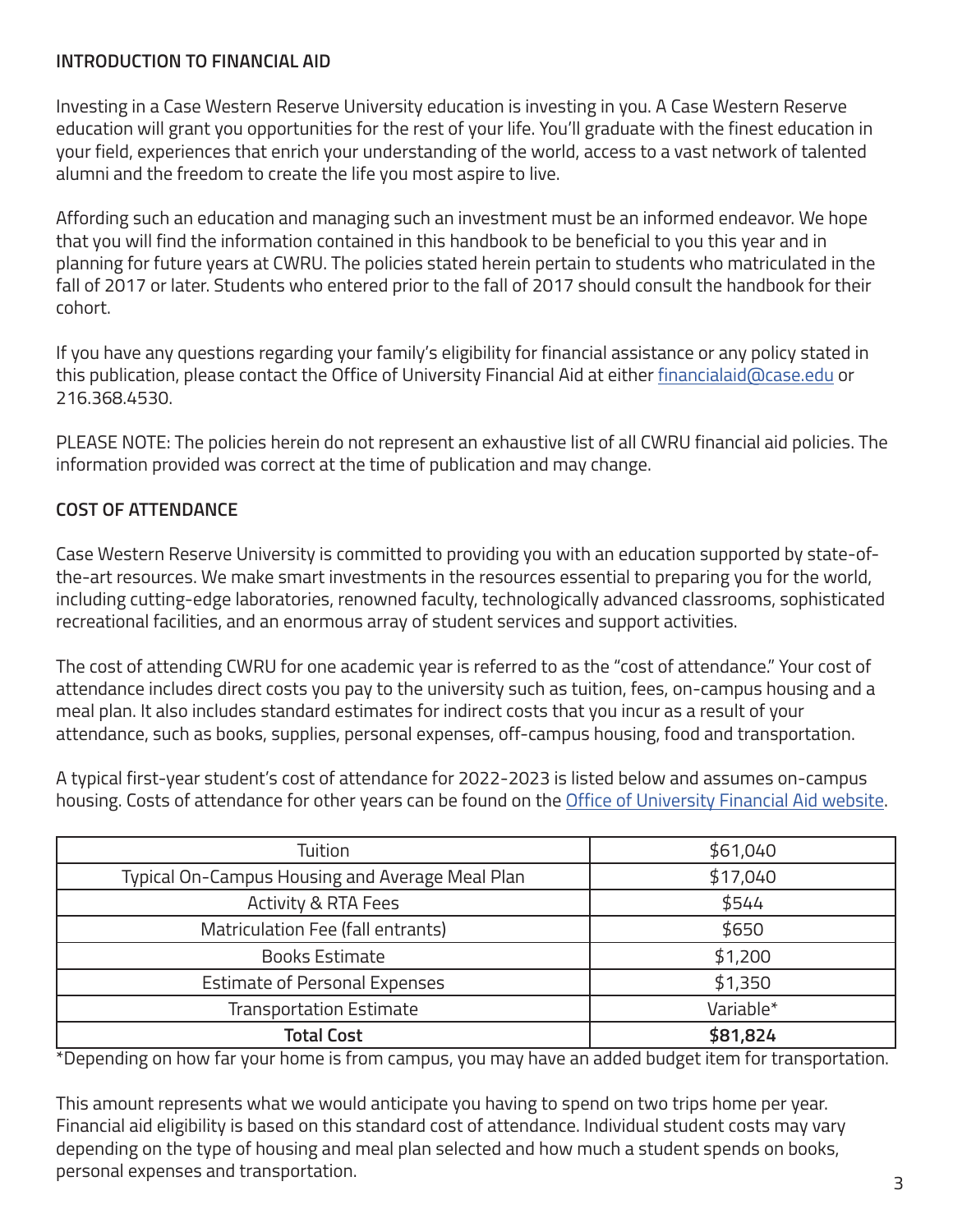# **INTRODUCTION TO FINANCIAL AID**

Investing in a Case Western Reserve University education is investing in you. A Case Western Reserve education will grant you opportunities for the rest of your life. You'll graduate with the finest education in your field, experiences that enrich your understanding of the world, access to a vast network of talented alumni and the freedom to create the life you most aspire to live.

Affording such an education and managing such an investment must be an informed endeavor. We hope that you will find the information contained in this handbook to be beneficial to you this year and in planning for future years at CWRU. The policies stated herein pertain to students who matriculated in the fall of 2017 or later. Students who entered prior to the fall of 2017 should consult the handbook for their cohort.

If you have any questions regarding your family's eligibility for financial assistance or any policy stated in this publication, please contact the Office of University Financial Aid at either financialaid@case.edu or 216.368.4530.

PLEASE NOTE: The policies herein do not represent an exhaustive list of all CWRU financial aid policies. The information provided was correct at the time of publication and may change.

# **COST OF ATTENDANCE**

Case Western Reserve University is committed to providing you with an education supported by state-ofthe-art resources. We make smart investments in the resources essential to preparing you for the world, including cutting-edge laboratories, renowned faculty, technologically advanced classrooms, sophisticated recreational facilities, and an enormous array of student services and support activities.

The cost of attending CWRU for one academic year is referred to as the "cost of attendance." Your cost of attendance includes direct costs you pay to the university such as tuition, fees, on-campus housing and a meal plan. It also includes standard estimates for indirect costs that you incur as a result of your attendance, such as books, supplies, personal expenses, off-campus housing, food and transportation.

A typical first-year student's cost of attendance for 2022-2023 is listed below and assumes on-campus housing. Costs of attendance for other years can be found on the Office of University Financial Aid website.

| Tuition                                         | \$61,040  |
|-------------------------------------------------|-----------|
| Typical On-Campus Housing and Average Meal Plan | \$17,040  |
| <b>Activity &amp; RTA Fees</b>                  | \$544     |
| Matriculation Fee (fall entrants)               | \$650     |
| <b>Books Estimate</b>                           | \$1,200   |
| <b>Estimate of Personal Expenses</b>            | \$1,350   |
| <b>Transportation Estimate</b>                  | Variable* |
| <b>Total Cost</b>                               | \$81,824  |

\*Depending on how far your home is from campus, you may have an added budget item for transportation.

This amount represents what we would anticipate you having to spend on two trips home per year. Financial aid eligibility is based on this standard cost of attendance. Individual student costs may vary depending on the type of housing and meal plan selected and how much a student spends on books, personal expenses and transportation.  $\frac{3}{3}$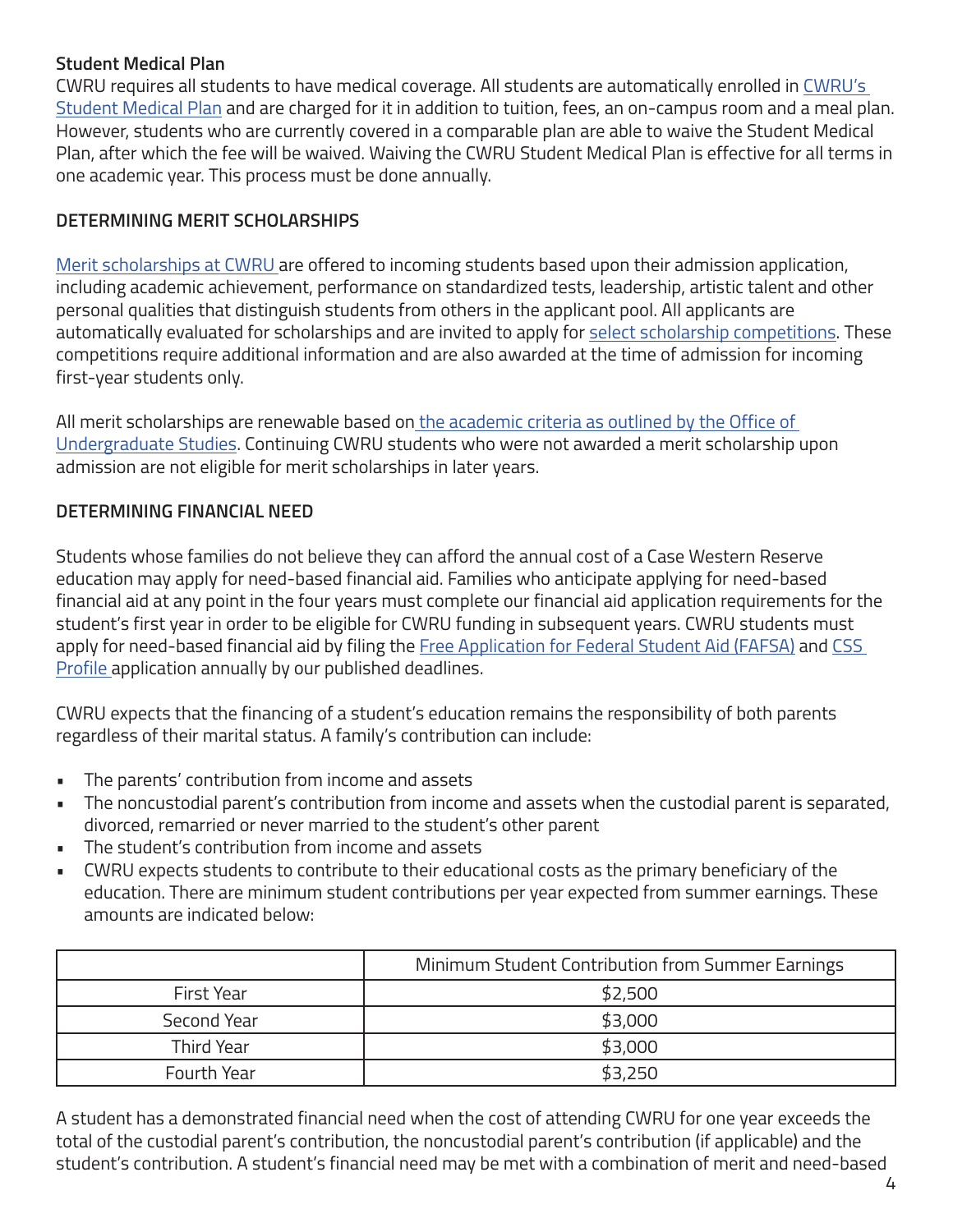# **Student Medical Plan**

CWRU requires all students to have medical coverage. All students are automatically enrolled in CWRU's Student Medical Plan and are charged for it in addition to tuition, fees, an on-campus room and a meal plan. However, students who are currently covered in a comparable plan are able to waive the Student Medical Plan, after which the fee will be waived. Waiving the CWRU Student Medical Plan is effective for all terms in one academic year. This process must be done annually.

# **DETERMINING MERIT SCHOLARSHIPS**

Merit scholarships at CWRU are offered to incoming students based upon their admission application, including academic achievement, performance on standardized tests, leadership, artistic talent and other personal qualities that distinguish students from others in the applicant pool. All applicants are automatically evaluated for scholarships and are invited to apply for select scholarship competitions. These competitions require additional information and are also awarded at the time of admission for incoming first-year students only.

All merit scholarships are renewable based on the academic criteria as outlined by the Office of Undergraduate Studies. Continuing CWRU students who were not awarded a merit scholarship upon admission are not eligible for merit scholarships in later years.

# **DETERMINING FINANCIAL NEED**

Students whose families do not believe they can afford the annual cost of a Case Western Reserve education may apply for need-based financial aid. Families who anticipate applying for need-based financial aid at any point in the four years must complete our financial aid application requirements for the student's first year in order to be eligible for CWRU funding in subsequent years. CWRU students must apply for need-based financial aid by filing the Free Application for Federal Student Aid (FAFSA) and CSS Profile application annually by our published deadlines.

CWRU expects that the financing of a student's education remains the responsibility of both parents regardless of their marital status. A family's contribution can include:

- The parents' contribution from income and assets
- The noncustodial parent's contribution from income and assets when the custodial parent is separated, divorced, remarried or never married to the student's other parent
- The student's contribution from income and assets
- CWRU expects students to contribute to their educational costs as the primary beneficiary of the education. There are minimum student contributions per year expected from summer earnings. These amounts are indicated below:

|             | Minimum Student Contribution from Summer Earnings |  |
|-------------|---------------------------------------------------|--|
| First Year  | \$2,500                                           |  |
| Second Year | \$3,000                                           |  |
| Third Year  | \$3,000                                           |  |
| Fourth Year | \$3,250                                           |  |

A student has a demonstrated financial need when the cost of attending CWRU for one year exceeds the total of the custodial parent's contribution, the noncustodial parent's contribution (if applicable) and the student's contribution. A student's financial need may be met with a combination of merit and need-based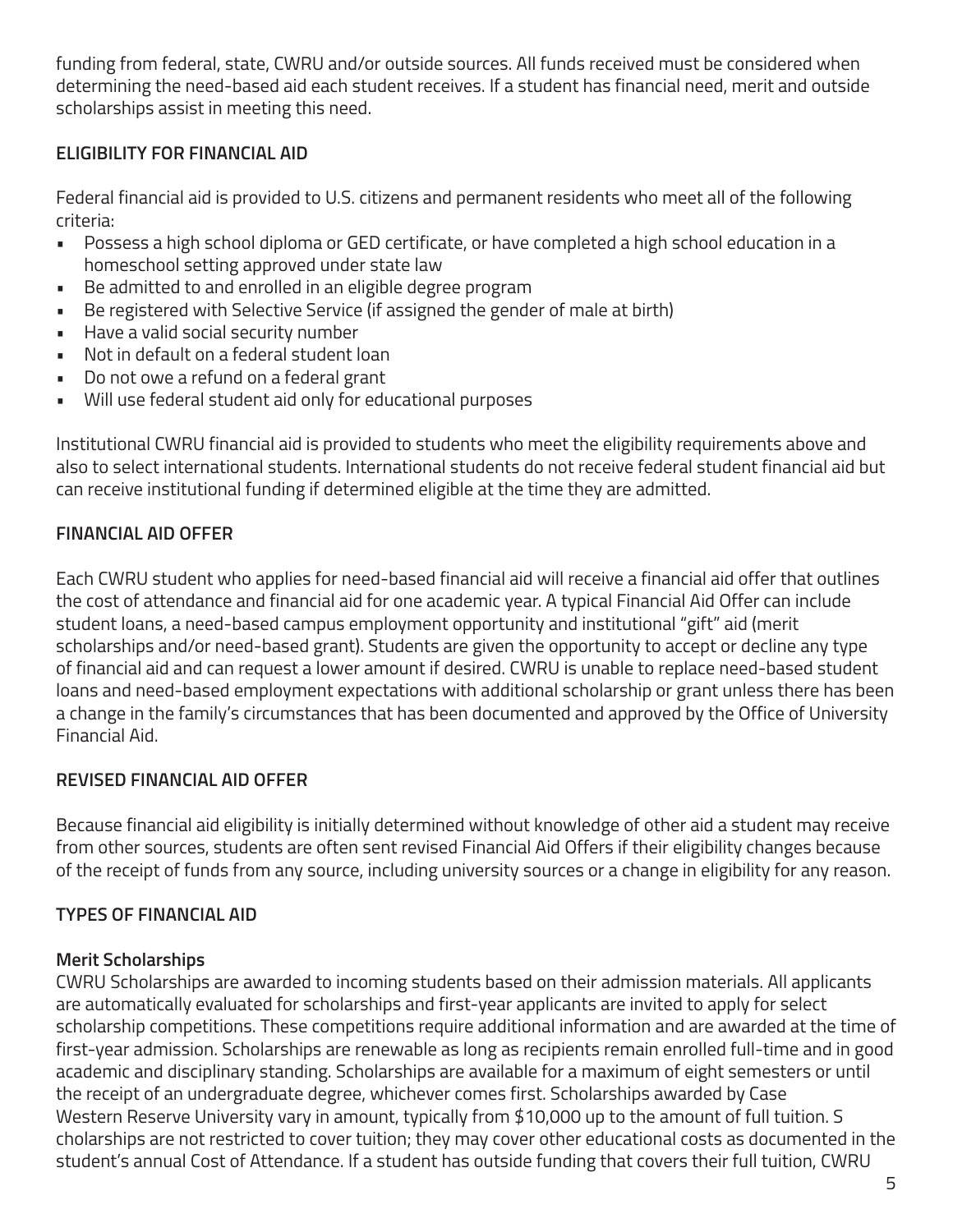funding from federal, state, CWRU and/or outside sources. All funds received must be considered when determining the need-based aid each student receives. If a student has financial need, merit and outside scholarships assist in meeting this need.

# **ELIGIBILITY FOR FINANCIAL AID**

Federal financial aid is provided to U.S. citizens and permanent residents who meet all of the following criteria:

- Possess a high school diploma or GED certificate, or have completed a high school education in a homeschool setting approved under state law
- Be admitted to and enrolled in an eligible degree program
- Be registered with Selective Service (if assigned the gender of male at birth)
- Have a valid social security number
- Not in default on a federal student loan
- Do not owe a refund on a federal grant
- Will use federal student aid only for educational purposes

Institutional CWRU financial aid is provided to students who meet the eligibility requirements above and also to select international students. International students do not receive federal student financial aid but can receive institutional funding if determined eligible at the time they are admitted.

# **FINANCIAL AID OFFER**

Each CWRU student who applies for need-based financial aid will receive a financial aid offer that outlines the cost of attendance and financial aid for one academic year. A typical Financial Aid Offer can include student loans, a need-based campus employment opportunity and institutional "gift" aid (merit scholarships and/or need-based grant). Students are given the opportunity to accept or decline any type of financial aid and can request a lower amount if desired. CWRU is unable to replace need-based student loans and need-based employment expectations with additional scholarship or grant unless there has been a change in the family's circumstances that has been documented and approved by the Office of University Financial Aid.

# **REVISED FINANCIAL AID OFFER**

Because financial aid eligibility is initially determined without knowledge of other aid a student may receive from other sources, students are often sent revised Financial Aid Offers if their eligibility changes because of the receipt of funds from any source, including university sources or a change in eligibility for any reason.

# **TYPES OF FINANCIAL AID**

# **Merit Scholarships**

CWRU Scholarships are awarded to incoming students based on their admission materials. All applicants are automatically evaluated for scholarships and first-year applicants are invited to apply for select scholarship competitions. These competitions require additional information and are awarded at the time of first-year admission. Scholarships are renewable as long as recipients remain enrolled full-time and in good academic and disciplinary standing. Scholarships are available for a maximum of eight semesters or until the receipt of an undergraduate degree, whichever comes first. Scholarships awarded by Case Western Reserve University vary in amount, typically from \$10,000 up to the amount of full tuition. S cholarships are not restricted to cover tuition; they may cover other educational costs as documented in the student's annual Cost of Attendance. If a student has outside funding that covers their full tuition, CWRU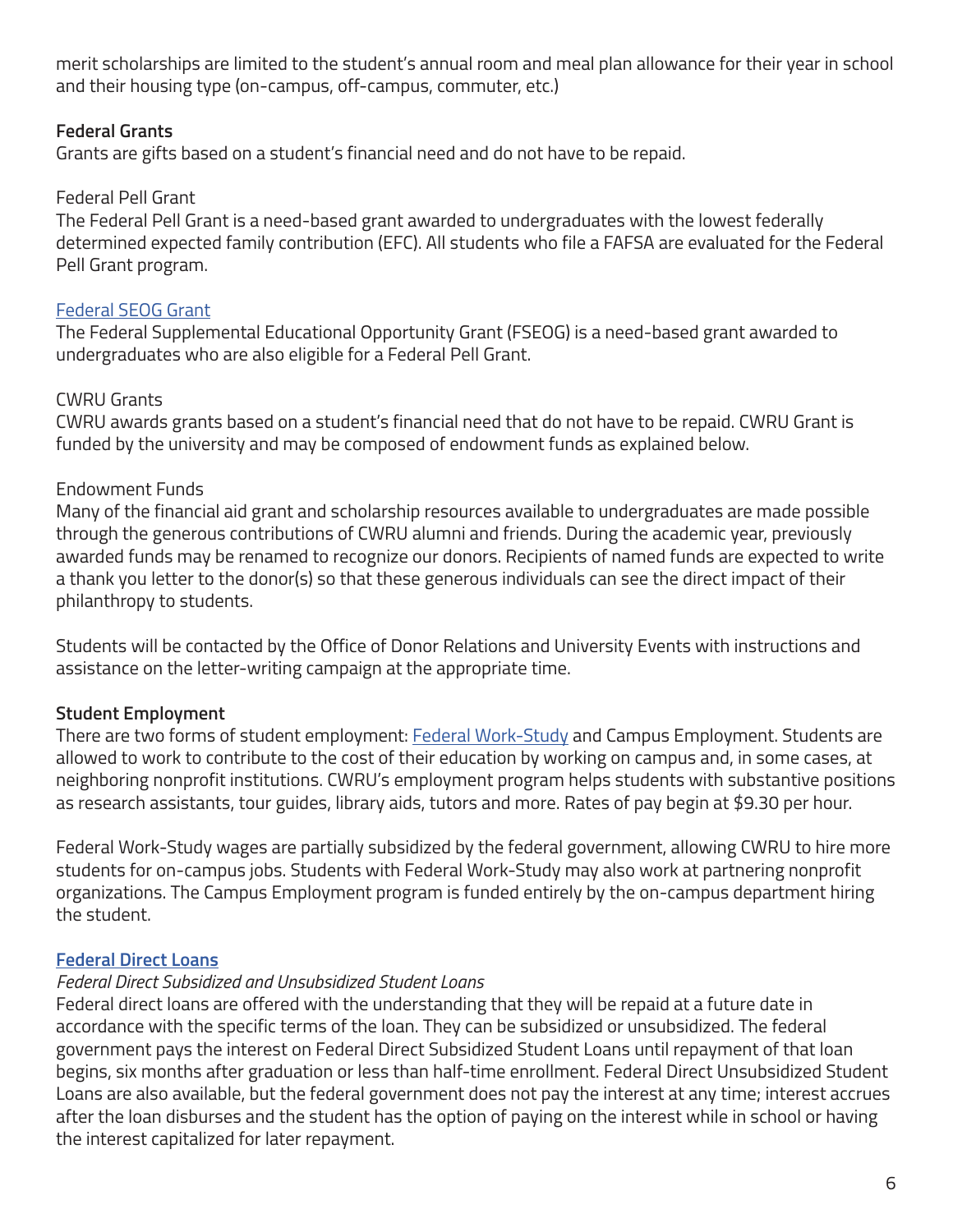merit scholarships are limited to the student's annual room and meal plan allowance for their year in school and their housing type (on-campus, off-campus, commuter, etc.)

# **Federal Grants**

Grants are gifts based on a student's financial need and do not have to be repaid.

# Federal Pell Grant

The Federal Pell Grant is a need-based grant awarded to undergraduates with the lowest federally determined expected family contribution (EFC). All students who file a FAFSA are evaluated for the Federal Pell Grant program.

# Federal SEOG Grant

The Federal Supplemental Educational Opportunity Grant (FSEOG) is a need-based grant awarded to undergraduates who are also eligible for a Federal Pell Grant.

# CWRU Grants

CWRU awards grants based on a student's financial need that do not have to be repaid. CWRU Grant is funded by the university and may be composed of endowment funds as explained below.

# Endowment Funds

Many of the financial aid grant and scholarship resources available to undergraduates are made possible through the generous contributions of CWRU alumni and friends. During the academic year, previously awarded funds may be renamed to recognize our donors. Recipients of named funds are expected to write a thank you letter to the donor(s) so that these generous individuals can see the direct impact of their philanthropy to students.

Students will be contacted by the Office of Donor Relations and University Events with instructions and assistance on the letter-writing campaign at the appropriate time.

# **Student Employment**

There are two forms of student employment: Federal Work-Study and Campus Employment. Students are allowed to work to contribute to the cost of their education by working on campus and, in some cases, at neighboring nonprofit institutions. CWRU's employment program helps students with substantive positions as research assistants, tour guides, library aids, tutors and more. Rates of pay begin at \$9.30 per hour.

Federal Work-Study wages are partially subsidized by the federal government, allowing CWRU to hire more students for on-campus jobs. Students with Federal Work-Study may also work at partnering nonprofit organizations. The Campus Employment program is funded entirely by the on-campus department hiring the student.

# **Federal Direct Loans**

# *Federal Direct Subsidized and Unsubsidized Student Loans*

Federal direct loans are offered with the understanding that they will be repaid at a future date in accordance with the specific terms of the loan. They can be subsidized or unsubsidized. The federal government pays the interest on Federal Direct Subsidized Student Loans until repayment of that loan begins, six months after graduation or less than half-time enrollment. Federal Direct Unsubsidized Student Loans are also available, but the federal government does not pay the interest at any time; interest accrues after the loan disburses and the student has the option of paying on the interest while in school or having the interest capitalized for later repayment.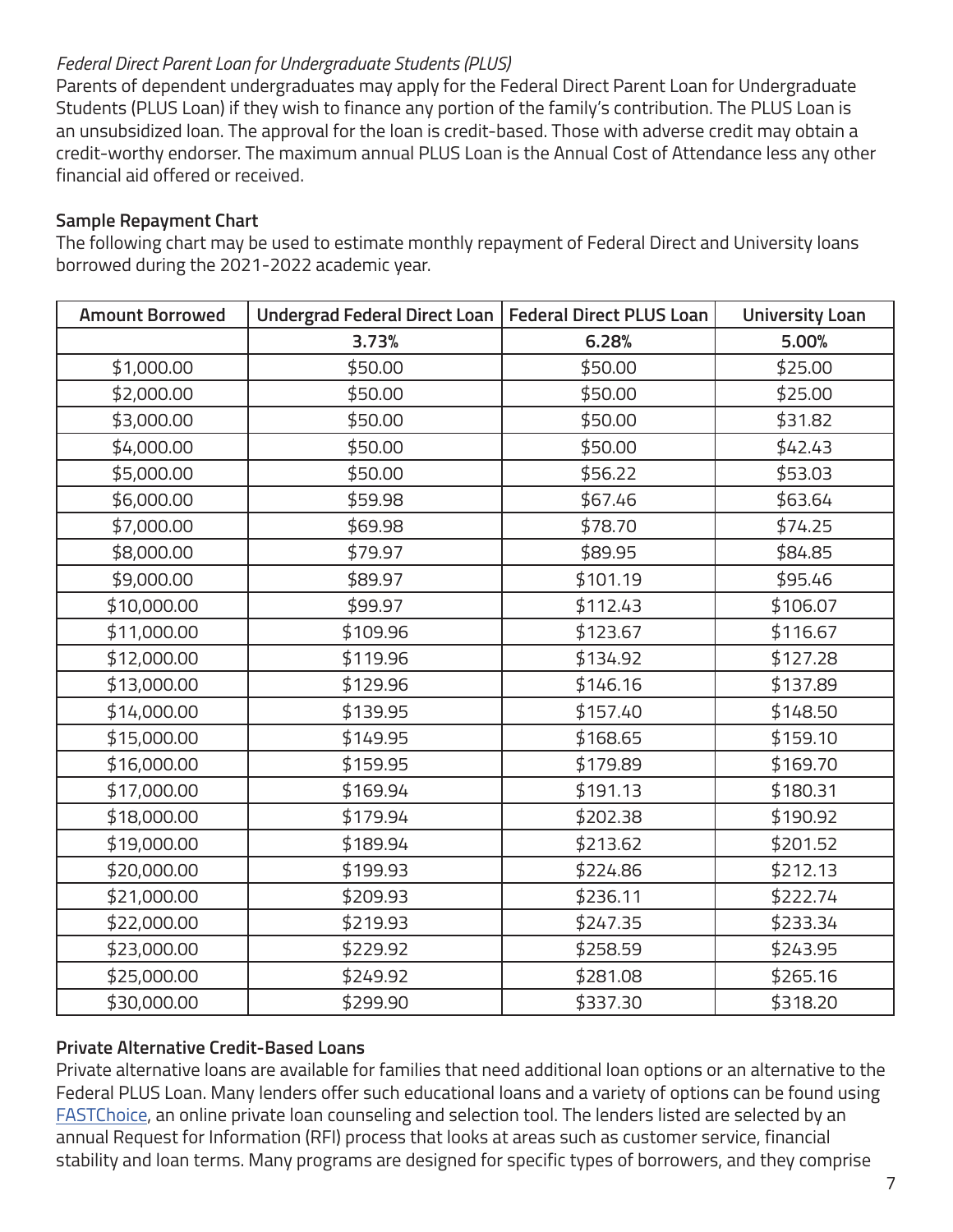# *Federal Direct Parent Loan for Undergraduate Students (PLUS)*

Parents of dependent undergraduates may apply for the Federal Direct Parent Loan for Undergraduate Students (PLUS Loan) if they wish to finance any portion of the family's contribution. The PLUS Loan is an unsubsidized loan. The approval for the loan is credit-based. Those with adverse credit may obtain a credit-worthy endorser. The maximum annual PLUS Loan is the Annual Cost of Attendance less any other financial aid offered or received.

# **Sample Repayment Chart**

The following chart may be used to estimate monthly repayment of Federal Direct and University loans borrowed during the 2021-2022 academic year.

| <b>Amount Borrowed</b> | Undergrad Federal Direct Loan   Federal Direct PLUS Loan |          | <b>University Loan</b> |
|------------------------|----------------------------------------------------------|----------|------------------------|
|                        | 3.73%                                                    | 6.28%    | 5.00%                  |
| \$1,000.00             | \$50.00                                                  | \$50.00  | \$25.00                |
| \$2,000.00             | \$50.00                                                  | \$50.00  | \$25.00                |
| \$3,000.00             | \$50.00                                                  | \$50.00  | \$31.82                |
| \$4,000.00             | \$50.00                                                  | \$50.00  | \$42.43                |
| \$5,000.00             | \$50.00                                                  | \$56.22  | \$53.03                |
| \$6,000.00             | \$59.98                                                  | \$67.46  | \$63.64                |
| \$7,000.00             | \$69.98                                                  | \$78.70  | \$74.25                |
| \$8,000.00             | \$79.97                                                  | \$89.95  | \$84.85                |
| \$9,000.00             | \$89.97                                                  | \$101.19 | \$95.46                |
| \$10,000.00            | \$99.97                                                  | \$112.43 | \$106.07               |
| \$11,000.00            | \$109.96                                                 | \$123.67 | \$116.67               |
| \$12,000.00            | \$119.96                                                 | \$134.92 | \$127.28               |
| \$13,000.00            | \$129.96                                                 | \$146.16 | \$137.89               |
| \$14,000.00            | \$139.95                                                 | \$157.40 | \$148.50               |
| \$15,000.00            | \$149.95                                                 | \$168.65 | \$159.10               |
| \$16,000.00            | \$159.95                                                 | \$179.89 | \$169.70               |
| \$17,000.00            | \$169.94                                                 | \$191.13 | \$180.31               |
| \$18,000.00            | \$179.94                                                 | \$202.38 | \$190.92               |
| \$19,000.00            | \$189.94                                                 | \$213.62 | \$201.52               |
| \$20,000.00            | \$199.93                                                 | \$224.86 | \$212.13               |
| \$21,000.00            | \$209.93                                                 | \$236.11 | \$222.74               |
| \$22,000.00            | \$219.93                                                 | \$247.35 | \$233.34               |
| \$23,000.00            | \$229.92                                                 | \$258.59 | \$243.95               |
| \$25,000.00            | \$249.92                                                 | \$281.08 | \$265.16               |
| \$30,000.00            | \$299.90                                                 | \$337.30 | \$318.20               |

# **Private Alternative Credit-Based Loans**

Private alternative loans are available for families that need additional loan options or an alternative to the Federal PLUS Loan. Many lenders offer such educational loans and a variety of options can be found using FASTChoice, an online private loan counseling and selection tool. The lenders listed are selected by an annual Request for Information (RFI) process that looks at areas such as customer service, financial stability and loan terms. Many programs are designed for specific types of borrowers, and they comprise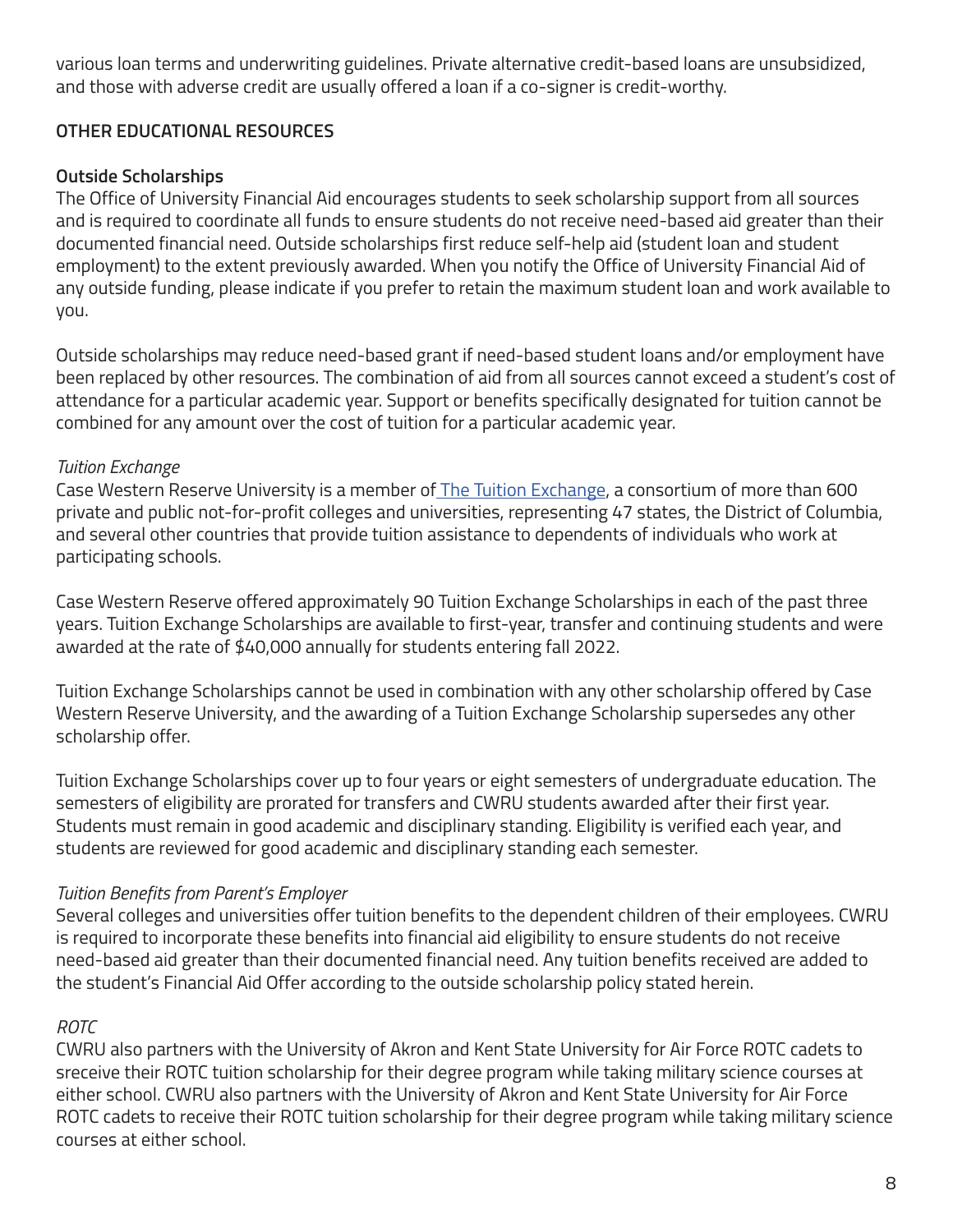various loan terms and underwriting guidelines. Private alternative credit-based loans are unsubsidized, and those with adverse credit are usually offered a loan if a co-signer is credit-worthy.

# **OTHER EDUCATIONAL RESOURCES**

# **Outside Scholarships**

The Office of University Financial Aid encourages students to seek scholarship support from all sources and is required to coordinate all funds to ensure students do not receive need-based aid greater than their documented financial need. Outside scholarships first reduce self-help aid (student loan and student employment) to the extent previously awarded. When you notify the Office of University Financial Aid of any outside funding, please indicate if you prefer to retain the maximum student loan and work available to you.

Outside scholarships may reduce need-based grant if need-based student loans and/or employment have been replaced by other resources. The combination of aid from all sources cannot exceed a student's cost of attendance for a particular academic year. Support or benefits specifically designated for tuition cannot be combined for any amount over the cost of tuition for a particular academic year.

# *Tuition Exchange*

Case Western Reserve University is a member of The Tuition Exchange, a consortium of more than 600 private and public not-for-profit colleges and universities, representing 47 states, the District of Columbia, and several other countries that provide tuition assistance to dependents of individuals who work at participating schools.

Case Western Reserve offered approximately 90 Tuition Exchange Scholarships in each of the past three years. Tuition Exchange Scholarships are available to first-year, transfer and continuing students and were awarded at the rate of \$40,000 annually for students entering fall 2022.

Tuition Exchange Scholarships cannot be used in combination with any other scholarship offered by Case Western Reserve University, and the awarding of a Tuition Exchange Scholarship supersedes any other scholarship offer.

Tuition Exchange Scholarships cover up to four years or eight semesters of undergraduate education. The semesters of eligibility are prorated for transfers and CWRU students awarded after their first year. Students must remain in good academic and disciplinary standing. Eligibility is verified each year, and students are reviewed for good academic and disciplinary standing each semester.

# *Tuition Benefits from Parent's Employer*

Several colleges and universities offer tuition benefits to the dependent children of their employees. CWRU is required to incorporate these benefits into financial aid eligibility to ensure students do not receive need-based aid greater than their documented financial need. Any tuition benefits received are added to the student's Financial Aid Offer according to the outside scholarship policy stated herein.

# *ROTC*

CWRU also partners with the University of Akron and Kent State University for Air Force ROTC cadets to sreceive their ROTC tuition scholarship for their degree program while taking military science courses at either school. CWRU also partners with the University of Akron and Kent State University for Air Force ROTC cadets to receive their ROTC tuition scholarship for their degree program while taking military science courses at either school.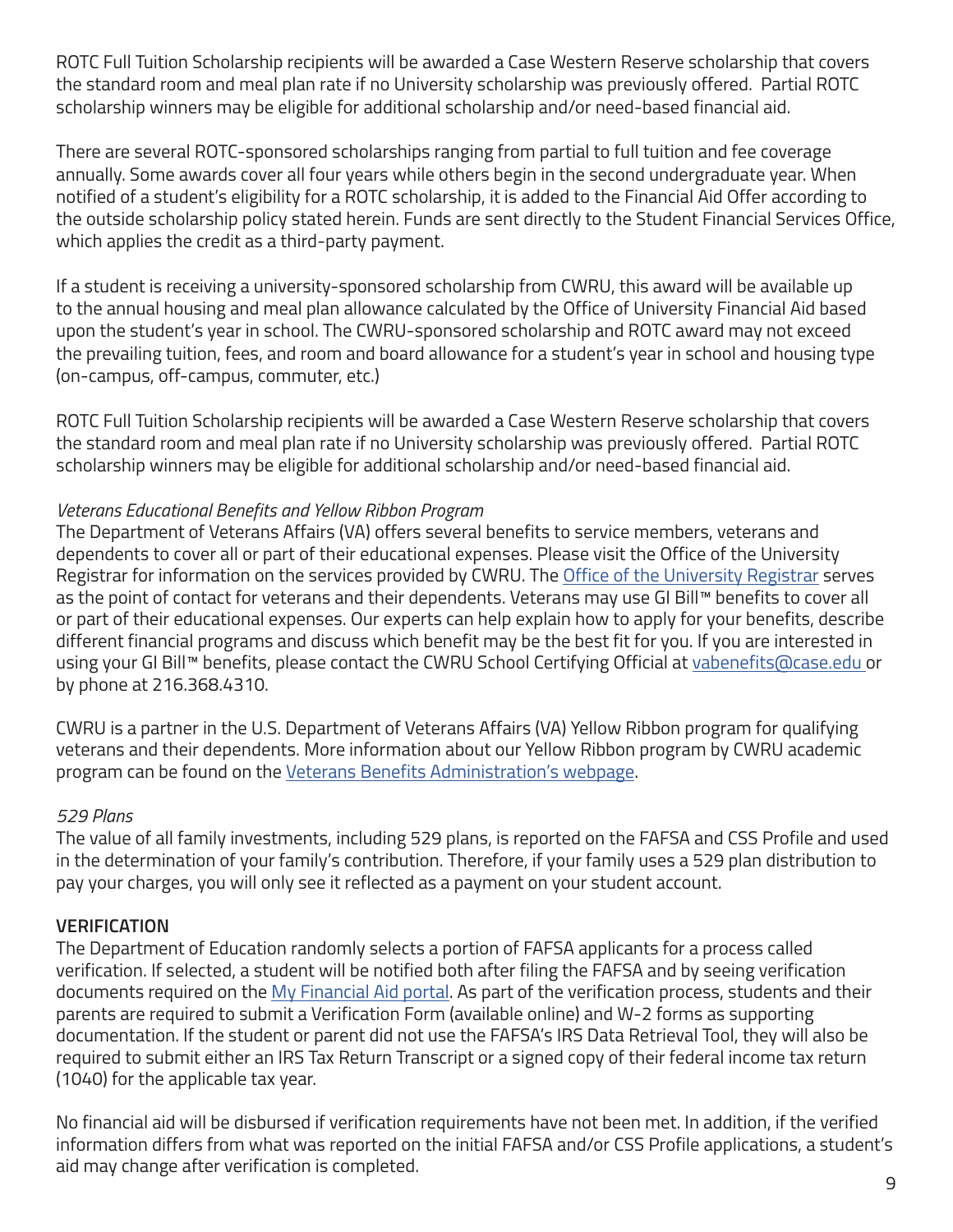ROTC Full Tuition Scholarship recipients will be awarded a Case Western Reserve scholarship that covers the standard room and meal plan rate if no University scholarship was previously offered. Partial ROTC scholarship winners may be eligible for additional scholarship and/or need-based financial aid.

There are several ROTC-sponsored scholarships ranging from partial to full tuition and fee coverage annually. Some awards cover all four years while others begin in the second undergraduate year. When notified of a student's eligibility for a ROTC scholarship, it is added to the Financial Aid Offer according to the outside scholarship policy stated herein. Funds are sent directly to the Student Financial Services Office, which applies the credit as a third-party payment.

If a student is receiving a university-sponsored scholarship from CWRU, this award will be available up to the annual housing and meal plan allowance calculated by the Office of University Financial Aid based upon the student's year in school. The CWRU-sponsored scholarship and ROTC award may not exceed the prevailing tuition, fees, and room and board allowance for a student's year in school and housing type (on-campus, off-campus, commuter, etc.)

ROTC Full Tuition Scholarship recipients will be awarded a Case Western Reserve scholarship that covers the standard room and meal plan rate if no University scholarship was previously offered. Partial ROTC scholarship winners may be eligible for additional scholarship and/or need-based financial aid.

# *Veterans Educational Benefits and Yellow Ribbon Program*

The Department of Veterans Affairs (VA) offers several benefits to service members, veterans and dependents to cover all or part of their educational expenses. Please visit the Office of the University Registrar for information on the services provided by CWRU. The Office of the University Registrar serves as the point of contact for veterans and their dependents. Veterans may use GI Bill™ benefits to cover all or part of their educational expenses. Our experts can help explain how to apply for your benefits, describe different financial programs and discuss which benefit may be the best fit for you. If you are interested in using your GI Bill™ benefits, please contact the CWRU School Certifying Official at vabenefits@case.edu or by phone at 216.368.4310.

CWRU is a partner in the U.S. Department of Veterans Affairs (VA) Yellow Ribbon program for qualifying veterans and their dependents. More information about our Yellow Ribbon program by CWRU academic program can be found on the Veterans Benefits Administration's webpage.

# *529 Plans*

The value of all family investments, including 529 plans, is reported on the FAFSA and CSS Profile and used in the determination of your family's contribution. Therefore, if your family uses a 529 plan distribution to pay your charges, you will only see it reflected as a payment on your student account.

# **VERIFICATION**

The Department of Education randomly selects a portion of FAFSA applicants for a process called verification. If selected, a student will be notified both after filing the FAFSA and by seeing verification documents required on the My Financial Aid portal. As part of the verification process, students and their parents are required to submit a Verification Form (available online) and W-2 forms as supporting documentation. If the student or parent did not use the FAFSA's IRS Data Retrieval Tool, they will also be required to submit either an IRS Tax Return Transcript or a signed copy of their federal income tax return (1040) for the applicable tax year.

No financial aid will be disbursed if verification requirements have not been met. In addition, if the verified information differs from what was reported on the initial FAFSA and/or CSS Profile applications, a student's aid may change after verification is completed.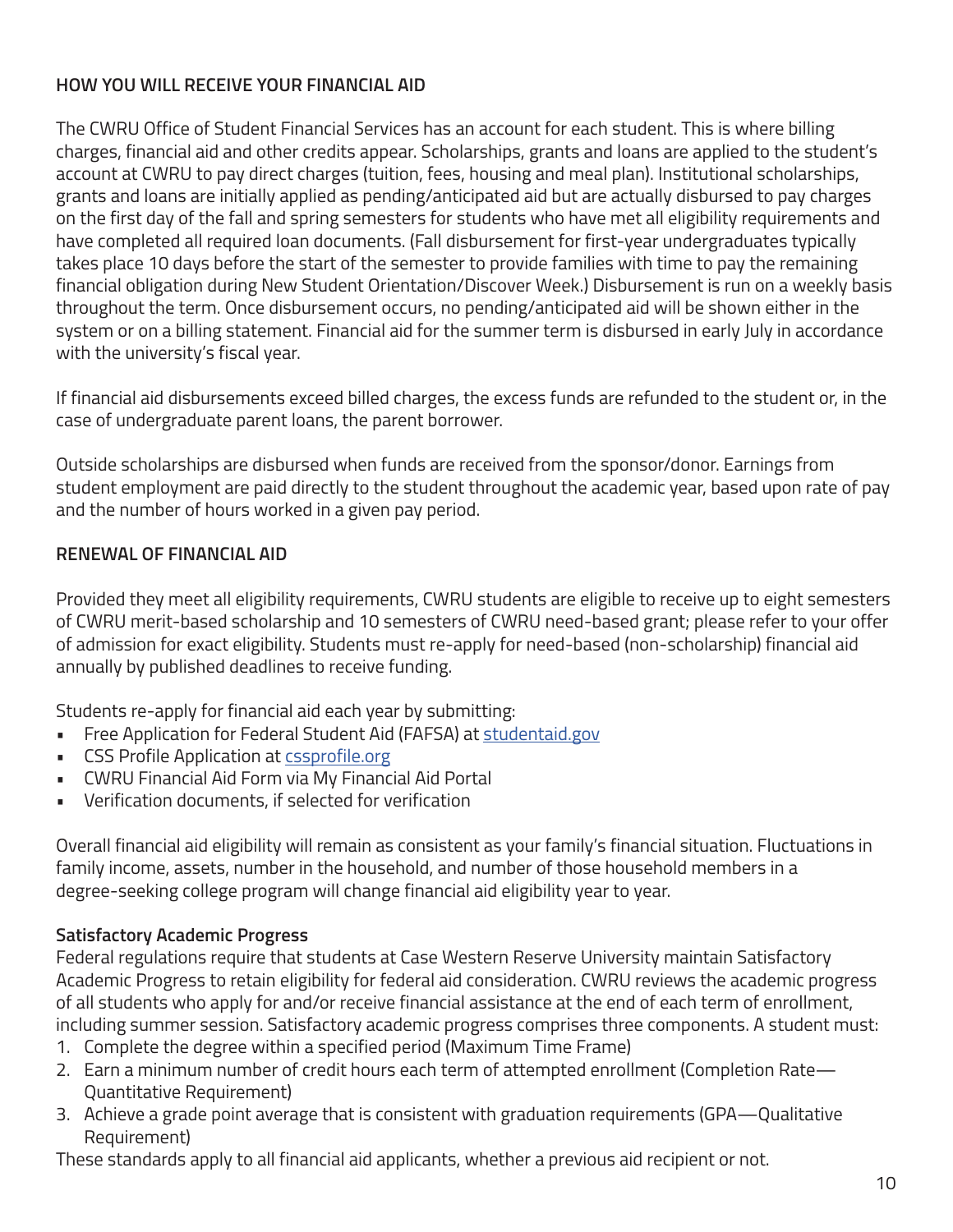# **HOW YOU WILL RECEIVE YOUR FINANCIAL AID**

The CWRU Office of Student Financial Services has an account for each student. This is where billing charges, financial aid and other credits appear. Scholarships, grants and loans are applied to the student's account at CWRU to pay direct charges (tuition, fees, housing and meal plan). Institutional scholarships, grants and loans are initially applied as pending/anticipated aid but are actually disbursed to pay charges on the first day of the fall and spring semesters for students who have met all eligibility requirements and have completed all required loan documents. (Fall disbursement for first-year undergraduates typically takes place 10 days before the start of the semester to provide families with time to pay the remaining financial obligation during New Student Orientation/Discover Week.) Disbursement is run on a weekly basis throughout the term. Once disbursement occurs, no pending/anticipated aid will be shown either in the system or on a billing statement. Financial aid for the summer term is disbursed in early July in accordance with the university's fiscal year.

If financial aid disbursements exceed billed charges, the excess funds are refunded to the student or, in the case of undergraduate parent loans, the parent borrower.

Outside scholarships are disbursed when funds are received from the sponsor/donor. Earnings from student employment are paid directly to the student throughout the academic year, based upon rate of pay and the number of hours worked in a given pay period.

# **RENEWAL OF FINANCIAL AID**

Provided they meet all eligibility requirements, CWRU students are eligible to receive up to eight semesters of CWRU merit-based scholarship and 10 semesters of CWRU need-based grant; please refer to your offer of admission for exact eligibility. Students must re-apply for need-based (non-scholarship) financial aid annually by published deadlines to receive funding.

Students re-apply for financial aid each year by submitting:

- Free Application for Federal Student Aid (FAFSA) at studentaid.gov
- CSS Profile Application at cssprofile.org
- CWRU Financial Aid Form via My Financial Aid Portal
- Verification documents, if selected for verification

Overall financial aid eligibility will remain as consistent as your family's financial situation. Fluctuations in family income, assets, number in the household, and number of those household members in a degree-seeking college program will change financial aid eligibility year to year.

# **Satisfactory Academic Progress**

Federal regulations require that students at Case Western Reserve University maintain Satisfactory Academic Progress to retain eligibility for federal aid consideration. CWRU reviews the academic progress of all students who apply for and/or receive financial assistance at the end of each term of enrollment, including summer session. Satisfactory academic progress comprises three components. A student must:

- 1. Complete the degree within a specified period (Maximum Time Frame)
- 2. Earn a minimum number of credit hours each term of attempted enrollment (Completion Rate-Quantitative Requirement)
- 3. Achieve a grade point average that is consistent with graduation requirements (GPA—Qualitative Requirement)

These standards apply to all financial aid applicants, whether a previous aid recipient or not.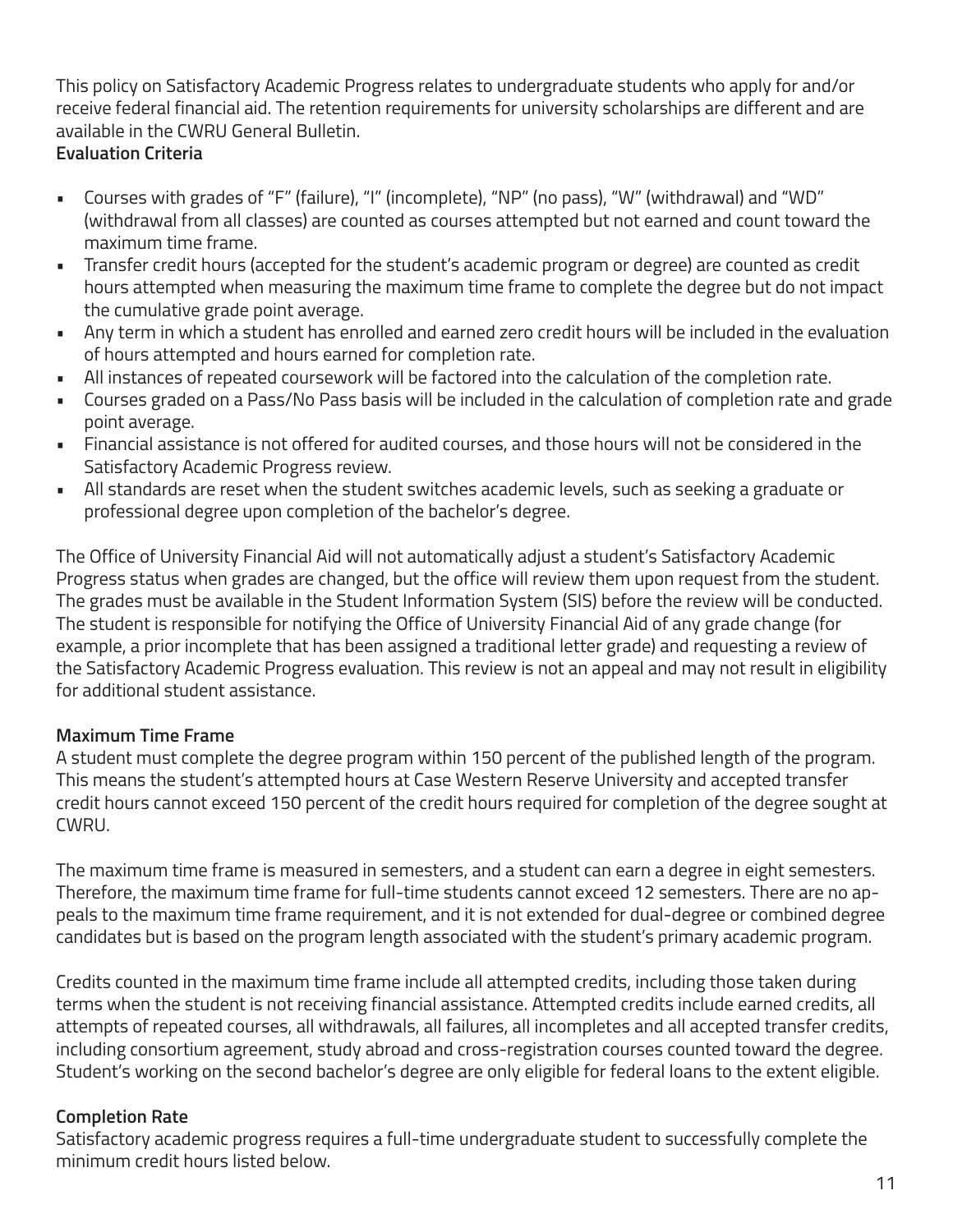This policy on Satisfactory Academic Progress relates to undergraduate students who apply for and/or receive federal financial aid. The retention requirements for university scholarships are different and are available in the CWRU General Bulletin.

# **Evaluation Criteria**

- Courses with grades of "F" (failure), "I" (incomplete), "NP" (no pass), "W" (withdrawal) and "WD" (withdrawal from all classes) are counted as courses attempted but not earned and count toward the maximum time frame.
- Transfer credit hours (accepted for the student's academic program or degree) are counted as credit hours attempted when measuring the maximum time frame to complete the degree but do not impact the cumulative grade point average.
- Any term in which a student has enrolled and earned zero credit hours will be included in the evaluation of hours attempted and hours earned for completion rate.
- All instances of repeated coursework will be factored into the calculation of the completion rate.
- Courses graded on a Pass/No Pass basis will be included in the calculation of completion rate and grade point average.
- Financial assistance is not offered for audited courses, and those hours will not be considered in the Satisfactory Academic Progress review.
- All standards are reset when the student switches academic levels, such as seeking a graduate or professional degree upon completion of the bachelor's degree.

The Office of University Financial Aid will not automatically adjust a student's Satisfactory Academic Progress status when grades are changed, but the office will review them upon request from the student. The grades must be available in the Student Information System (SIS) before the review will be conducted. The student is responsible for notifying the Office of University Financial Aid of any grade change (for example, a prior incomplete that has been assigned a traditional letter grade) and requesting a review of the Satisfactory Academic Progress evaluation. This review is not an appeal and may not result in eligibility for additional student assistance.

# **Maximum Time Frame**

A student must complete the degree program within 150 percent of the published length of the program. This means the student's attempted hours at Case Western Reserve University and accepted transfer credit hours cannot exceed 150 percent of the credit hours required for completion of the degree sought at CWRU.

The maximum time frame is measured in semesters, and a student can earn a degree in eight semesters. Therefore, the maximum time frame for full-time students cannot exceed 12 semesters. There are no appeals to the maximum time frame requirement, and it is not extended for dual-degree or combined degree candidates but is based on the program length associated with the student's primary academic program.

Credits counted in the maximum time frame include all attempted credits, including those taken during terms when the student is not receiving financial assistance. Attempted credits include earned credits, all attempts of repeated courses, all withdrawals, all failures, all incompletes and all accepted transfer credits, including consortium agreement, study abroad and cross-registration courses counted toward the degree. Student's working on the second bachelor's degree are only eligible for federal loans to the extent eligible.

# **Completion Rate**

Satisfactory academic progress requires a full-time undergraduate student to successfully complete the minimum credit hours listed below.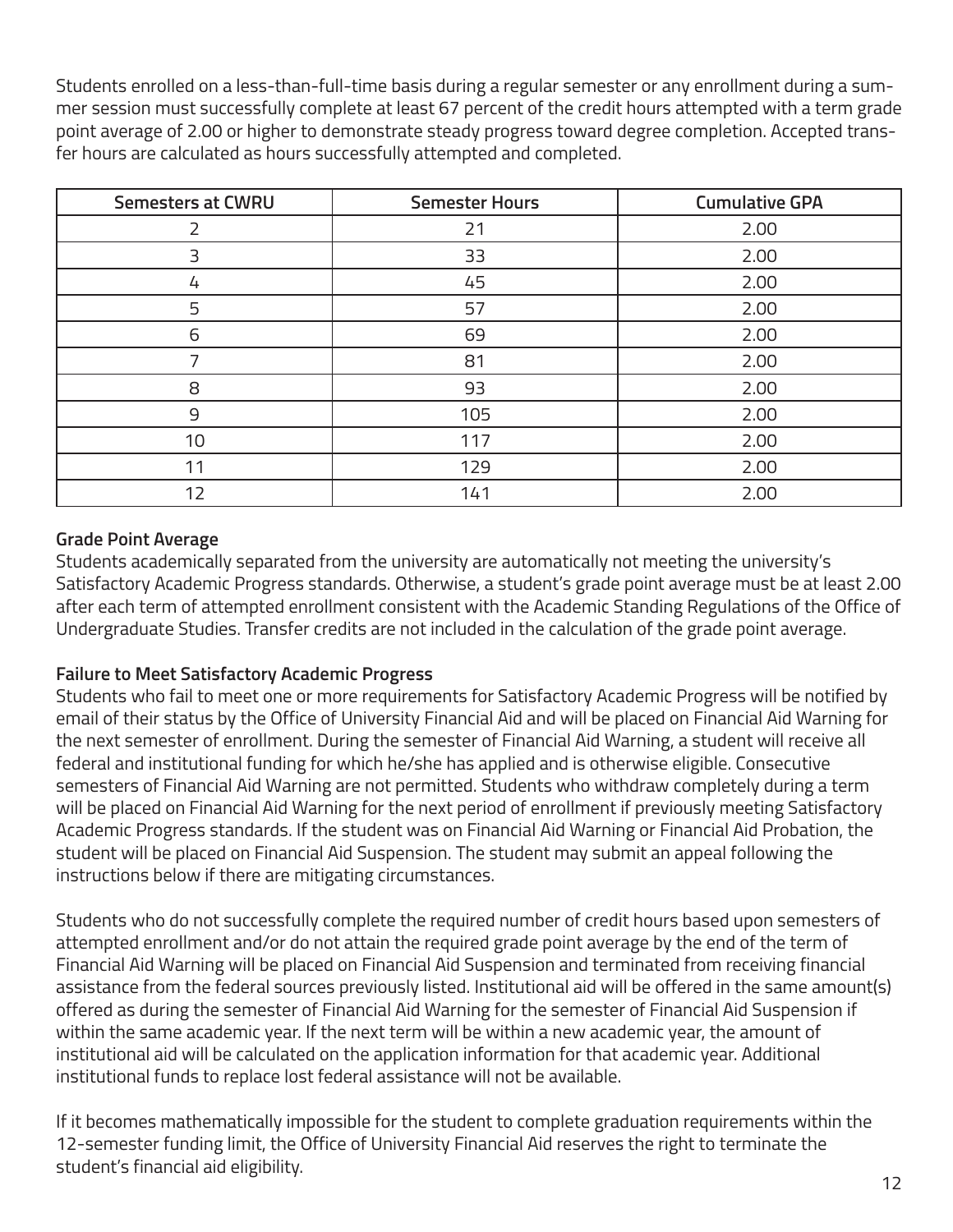Students enrolled on a less-than-full-time basis during a regular semester or any enrollment during a summer session must successfully complete at least 67 percent of the credit hours attempted with a term grade point average of 2.00 or higher to demonstrate steady progress toward degree completion. Accepted transfer hours are calculated as hours successfully attempted and completed.

| <b>Semesters at CWRU</b> | <b>Semester Hours</b> | <b>Cumulative GPA</b> |
|--------------------------|-----------------------|-----------------------|
|                          | 21                    | 2.00                  |
| 3                        | 33                    | 2.00                  |
| 4                        | 45                    | 2.00                  |
| 5                        | 57                    | 2.00                  |
| 6                        | 69                    | 2.00                  |
|                          | 81                    | 2.00                  |
| 8                        | 93                    | 2.00                  |
| 9                        | 105                   | 2.00                  |
| 10                       | 117                   | 2.00                  |
| 11                       | 129<br>2.00           |                       |
| 12                       | 141                   | 2.00                  |

# **Grade Point Average**

Students academically separated from the university are automatically not meeting the university's Satisfactory Academic Progress standards. Otherwise, a student's grade point average must be at least 2.00 after each term of attempted enrollment consistent with the Academic Standing Regulations of the Office of Undergraduate Studies. Transfer credits are not included in the calculation of the grade point average.

# **Failure to Meet Satisfactory Academic Progress**

Students who fail to meet one or more requirements for Satisfactory Academic Progress will be notified by email of their status by the Office of University Financial Aid and will be placed on Financial Aid Warning for the next semester of enrollment. During the semester of Financial Aid Warning, a student will receive all federal and institutional funding for which he/she has applied and is otherwise eligible. Consecutive semesters of Financial Aid Warning are not permitted. Students who withdraw completely during a term will be placed on Financial Aid Warning for the next period of enrollment if previously meeting Satisfactory Academic Progress standards. If the student was on Financial Aid Warning or Financial Aid Probation, the student will be placed on Financial Aid Suspension. The student may submit an appeal following the instructions below if there are mitigating circumstances.

Students who do not successfully complete the required number of credit hours based upon semesters of attempted enrollment and/or do not attain the required grade point average by the end of the term of Financial Aid Warning will be placed on Financial Aid Suspension and terminated from receiving financial assistance from the federal sources previously listed. Institutional aid will be offered in the same amount(s) offered as during the semester of Financial Aid Warning for the semester of Financial Aid Suspension if within the same academic year. If the next term will be within a new academic year, the amount of institutional aid will be calculated on the application information for that academic year. Additional institutional funds to replace lost federal assistance will not be available.

If it becomes mathematically impossible for the student to complete graduation requirements within the 12-semester funding limit, the Office of University Financial Aid reserves the right to terminate the student's financial aid eligibility.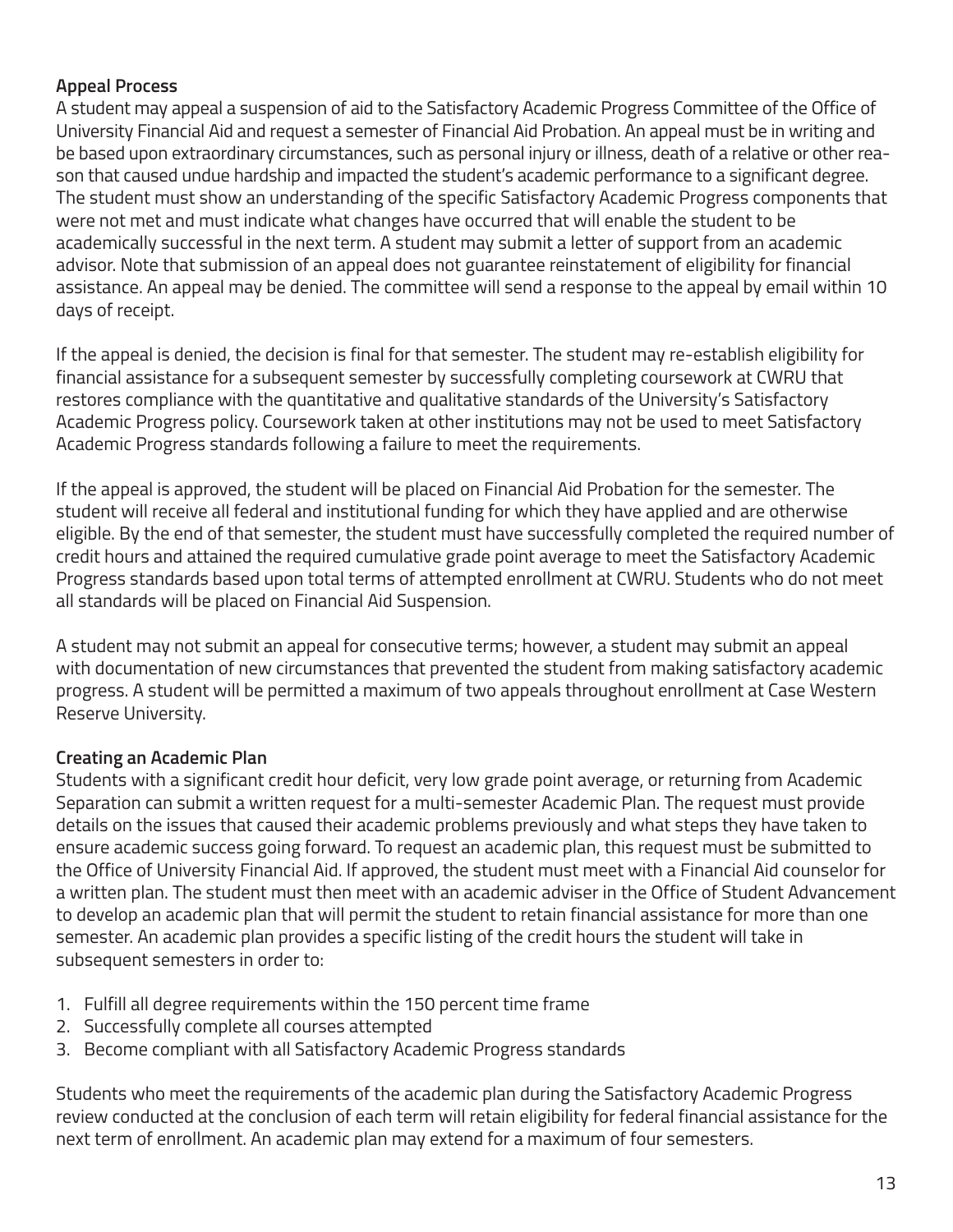# **Appeal Process**

A student may appeal a suspension of aid to the Satisfactory Academic Progress Committee of the Office of University Financial Aid and request a semester of Financial Aid Probation. An appeal must be in writing and be based upon extraordinary circumstances, such as personal injury or illness, death of a relative or other reason that caused undue hardship and impacted the student's academic performance to a significant degree. The student must show an understanding of the specific Satisfactory Academic Progress components that were not met and must indicate what changes have occurred that will enable the student to be academically successful in the next term. A student may submit a letter of support from an academic advisor. Note that submission of an appeal does not guarantee reinstatement of eligibility for financial assistance. An appeal may be denied. The committee will send a response to the appeal by email within 10 days of receipt.

If the appeal is denied, the decision is final for that semester. The student may re-establish eligibility for financial assistance for a subsequent semester by successfully completing coursework at CWRU that restores compliance with the quantitative and qualitative standards of the University's Satisfactory Academic Progress policy. Coursework taken at other institutions may not be used to meet Satisfactory Academic Progress standards following a failure to meet the requirements.

If the appeal is approved, the student will be placed on Financial Aid Probation for the semester. The student will receive all federal and institutional funding for which they have applied and are otherwise eligible. By the end of that semester, the student must have successfully completed the required number of credit hours and attained the required cumulative grade point average to meet the Satisfactory Academic Progress standards based upon total terms of attempted enrollment at CWRU. Students who do not meet all standards will be placed on Financial Aid Suspension.

A student may not submit an appeal for consecutive terms; however, a student may submit an appeal with documentation of new circumstances that prevented the student from making satisfactory academic progress. A student will be permitted a maximum of two appeals throughout enrollment at Case Western Reserve University.

# **Creating an Academic Plan**

Students with a significant credit hour deficit, very low grade point average, or returning from Academic Separation can submit a written request for a multi-semester Academic Plan. The request must provide details on the issues that caused their academic problems previously and what steps they have taken to ensure academic success going forward. To request an academic plan, this request must be submitted to the Office of University Financial Aid. If approved, the student must meet with a Financial Aid counselor for a written plan. The student must then meet with an academic adviser in the Office of Student Advancement to develop an academic plan that will permit the student to retain financial assistance for more than one semester. An academic plan provides a specific listing of the credit hours the student will take in subsequent semesters in order to:

- 1. Fulfill all degree requirements within the 150 percent time frame
- 2. Successfully complete all courses attempted
- 3. Become compliant with all Satisfactory Academic Progress standards

Students who meet the requirements of the academic plan during the Satisfactory Academic Progress review conducted at the conclusion of each term will retain eligibility for federal financial assistance for the next term of enrollment. An academic plan may extend for a maximum of four semesters.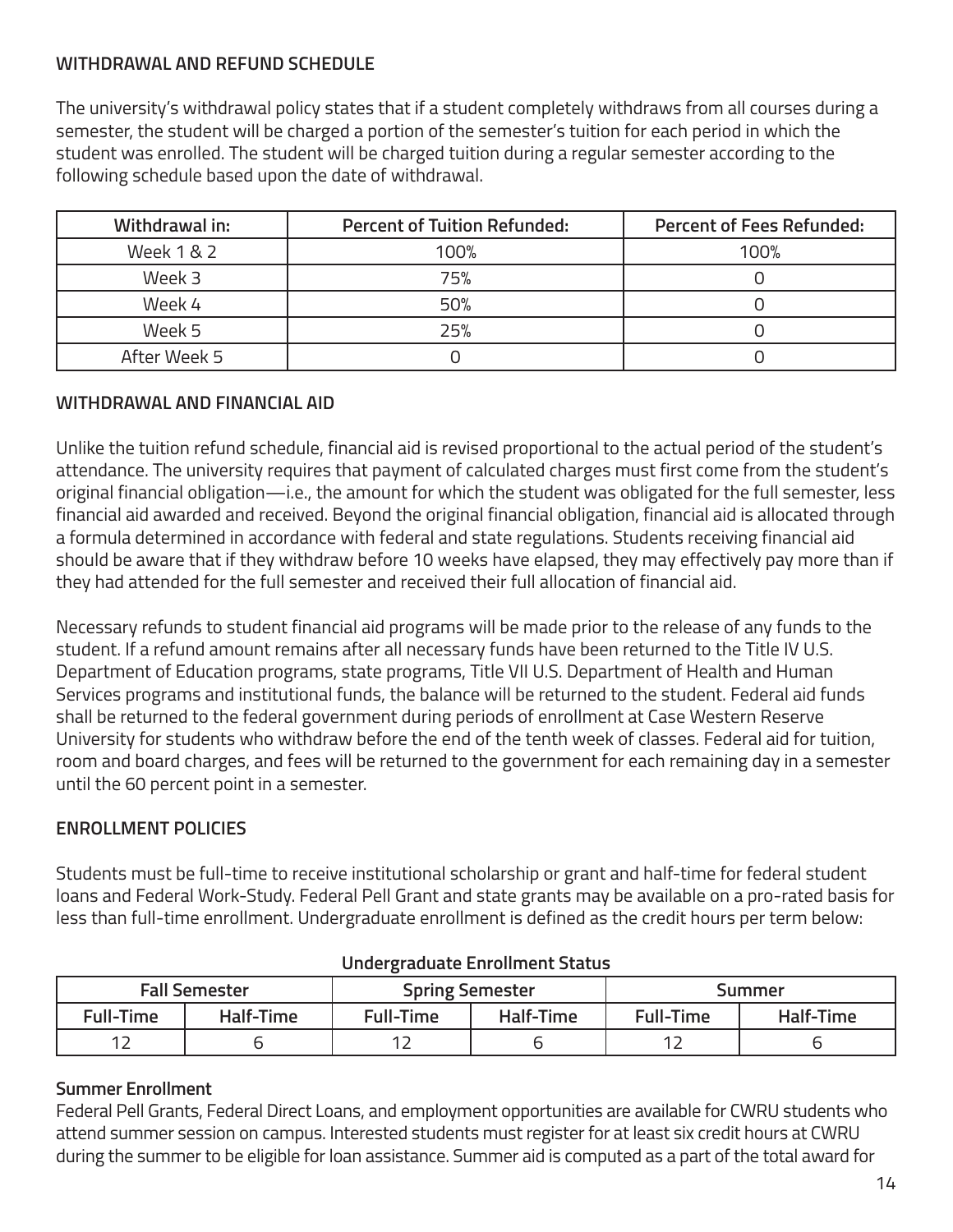# **WITHDRAWAL AND REFUND SCHEDULE**

The university's withdrawal policy states that if a student completely withdraws from all courses during a semester, the student will be charged a portion of the semester's tuition for each period in which the student was enrolled. The student will be charged tuition during a regular semester according to the following schedule based upon the date of withdrawal.

| Withdrawal in: | <b>Percent of Tuition Refunded:</b> | <b>Percent of Fees Refunded:</b> |
|----------------|-------------------------------------|----------------------------------|
| Week 1 & 2     | 100%                                | 100%                             |
| Week 3         | 75%                                 |                                  |
| Week 4         | 50%                                 |                                  |
| Week 5         | 25%                                 |                                  |
| After Week 5   |                                     |                                  |

# **WITHDRAWAL AND FINANCIAL AID**

Unlike the tuition refund schedule, financial aid is revised proportional to the actual period of the student's attendance. The university requires that payment of calculated charges must first come from the student's original financial obligation—i.e., the amount for which the student was obligated for the full semester, less financial aid awarded and received. Beyond the original financial obligation, financial aid is allocated through a formula determined in accordance with federal and state regulations. Students receiving financial aid should be aware that if they withdraw before 10 weeks have elapsed, they may effectively pay more than if they had attended for the full semester and received their full allocation of financial aid.

Necessary refunds to student financial aid programs will be made prior to the release of any funds to the student. If a refund amount remains after all necessary funds have been returned to the Title IV U.S. Department of Education programs, state programs, Title VII U.S. Department of Health and Human Services programs and institutional funds, the balance will be returned to the student. Federal aid funds shall be returned to the federal government during periods of enrollment at Case Western Reserve University for students who withdraw before the end of the tenth week of classes. Federal aid for tuition, room and board charges, and fees will be returned to the government for each remaining day in a semester until the 60 percent point in a semester.

# **ENROLLMENT POLICIES**

Students must be full-time to receive institutional scholarship or grant and half-time for federal student loans and Federal Work-Study. Federal Pell Grant and state grants may be available on a pro-rated basis for less than full-time enrollment. Undergraduate enrollment is defined as the credit hours per term below:

| <b>Fall Semester</b> |           | <b>Spring Semester</b> |           |           | Summer    |
|----------------------|-----------|------------------------|-----------|-----------|-----------|
| <b>Full-Time</b>     | Half-Time | Full-Time              | Half-Time | Full-Time | Half-Time |
|                      |           |                        |           |           |           |

# **Undergraduate Enrollment Status**

# **Summer Enrollment**

Federal Pell Grants, Federal Direct Loans, and employment opportunities are available for CWRU students who attend summer session on campus. Interested students must register for at least six credit hours at CWRU during the summer to be eligible for loan assistance. Summer aid is computed as a part of the total award for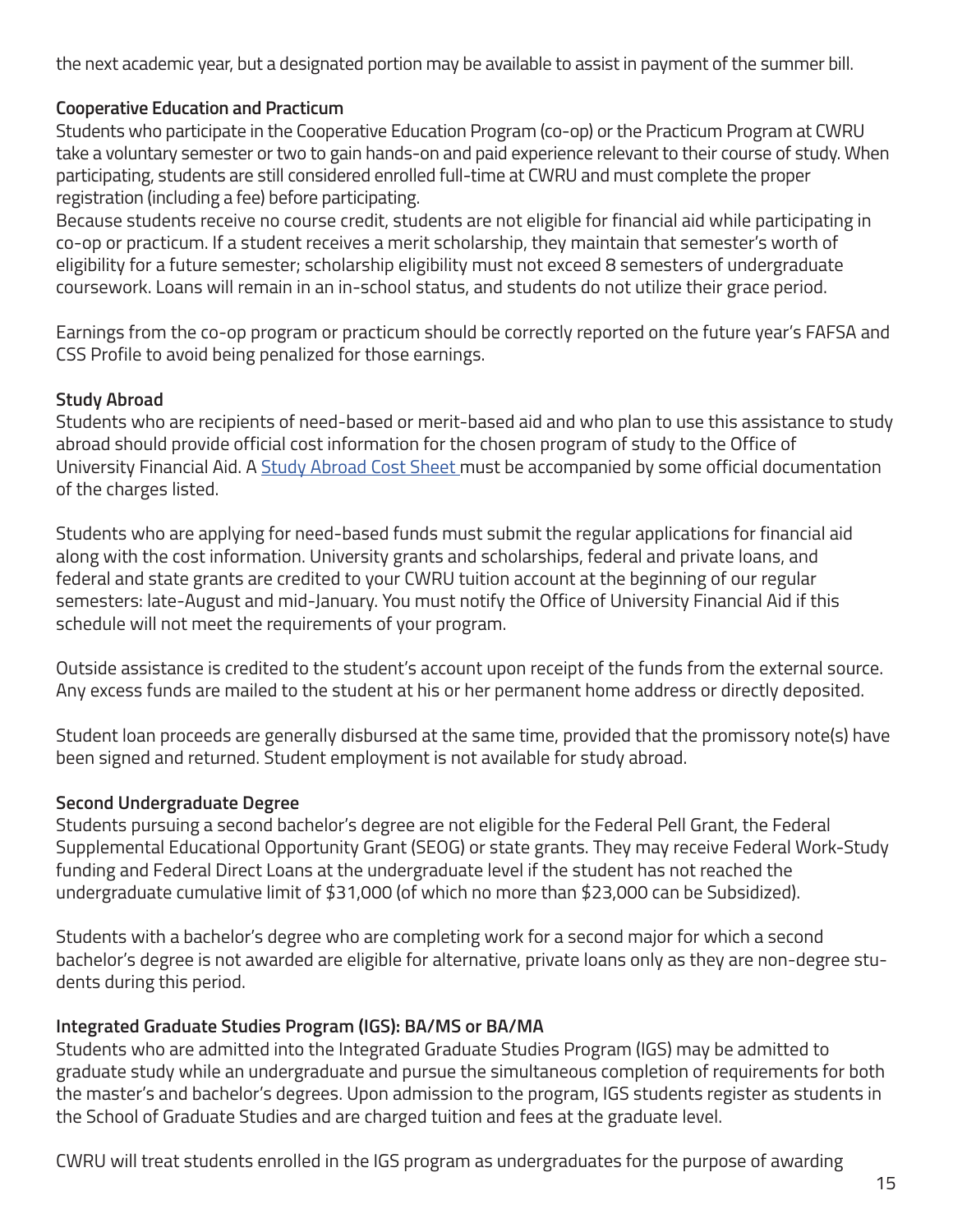the next academic year, but a designated portion may be available to assist in payment of the summer bill.

# **Cooperative Education and Practicum**

Students who participate in the Cooperative Education Program (co-op) or the Practicum Program at CWRU take a voluntary semester or two to gain hands-on and paid experience relevant to their course of study. When participating, students are still considered enrolled full-time at CWRU and must complete the proper registration (including a fee) before participating.

Because students receive no course credit, students are not eligible for financial aid while participating in co-op or practicum. If a student receives a merit scholarship, they maintain that semester's worth of eligibility for a future semester; scholarship eligibility must not exceed 8 semesters of undergraduate coursework. Loans will remain in an in-school status, and students do not utilize their grace period.

Earnings from the co-op program or practicum should be correctly reported on the future year's FAFSA and CSS Profile to avoid being penalized for those earnings.

# **Study Abroad**

Students who are recipients of need-based or merit-based aid and who plan to use this assistance to study abroad should provide official cost information for the chosen program of study to the Office of University Financial Aid. A Study Abroad Cost Sheet must be accompanied by some official documentation of the charges listed.

Students who are applying for need-based funds must submit the regular applications for financial aid along with the cost information. University grants and scholarships, federal and private loans, and federal and state grants are credited to your CWRU tuition account at the beginning of our regular semesters: late-August and mid-January. You must notify the Office of University Financial Aid if this schedule will not meet the requirements of your program.

Outside assistance is credited to the student's account upon receipt of the funds from the external source. Any excess funds are mailed to the student at his or her permanent home address or directly deposited.

Student loan proceeds are generally disbursed at the same time, provided that the promissory note(s) have been signed and returned. Student employment is not available for study abroad.

# **Second Undergraduate Degree**

Students pursuing a second bachelor's degree are not eligible for the Federal Pell Grant, the Federal Supplemental Educational Opportunity Grant (SEOG) or state grants. They may receive Federal Work-Study funding and Federal Direct Loans at the undergraduate level if the student has not reached the undergraduate cumulative limit of \$31,000 (of which no more than \$23,000 can be Subsidized).

Students with a bachelor's degree who are completing work for a second major for which a second bachelor's degree is not awarded are eligible for alternative, private loans only as they are non-degree students during this period.

# **Integrated Graduate Studies Program (IGS): BA/MS or BA/MA**

Students who are admitted into the Integrated Graduate Studies Program (IGS) may be admitted to graduate study while an undergraduate and pursue the simultaneous completion of requirements for both the master's and bachelor's degrees. Upon admission to the program, IGS students register as students in the School of Graduate Studies and are charged tuition and fees at the graduate level.

CWRU will treat students enrolled in the IGS program as undergraduates for the purpose of awarding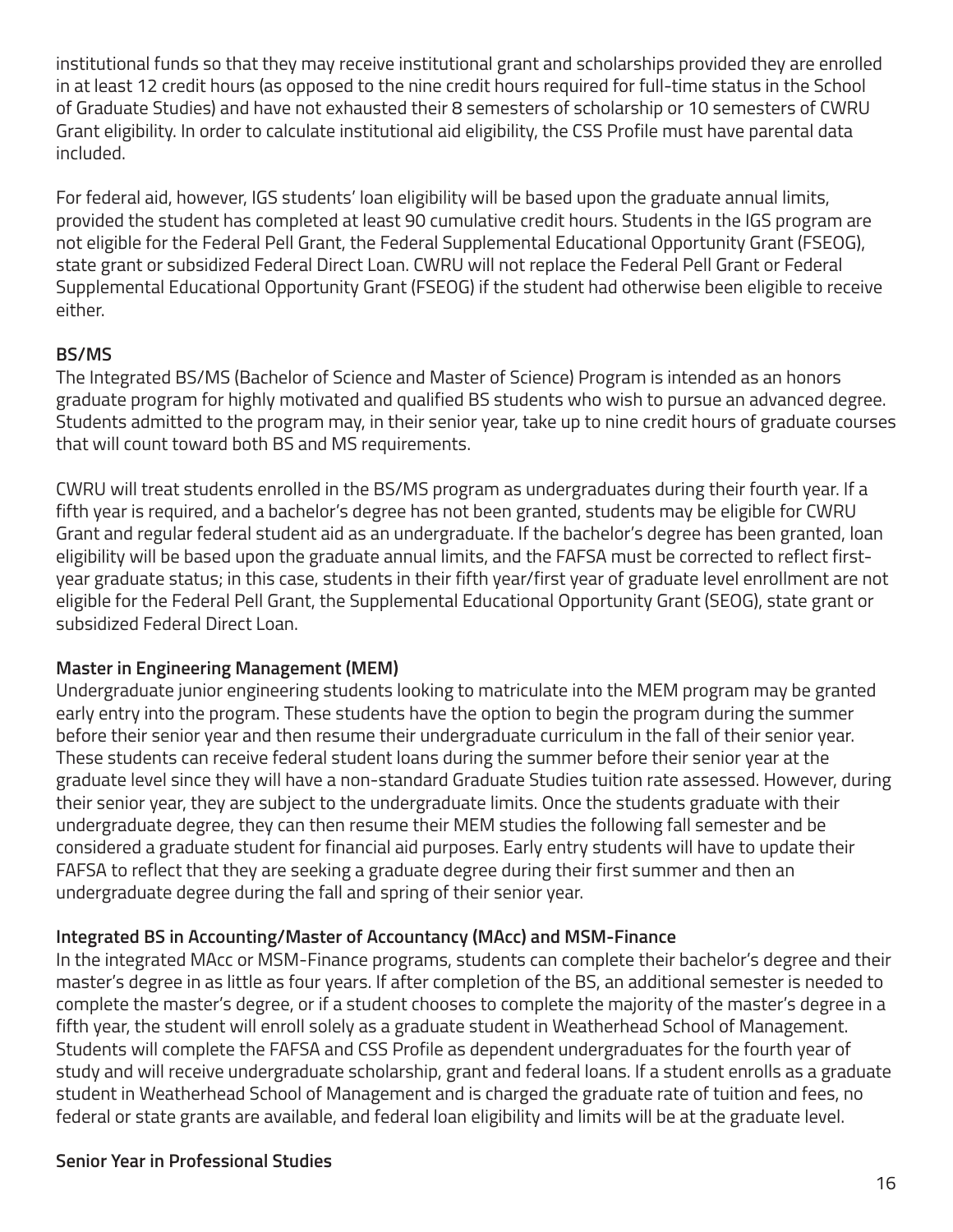institutional funds so that they may receive institutional grant and scholarships provided they are enrolled in at least 12 credit hours (as opposed to the nine credit hours required for full-time status in the School of Graduate Studies) and have not exhausted their 8 semesters of scholarship or 10 semesters of CWRU Grant eligibility. In order to calculate institutional aid eligibility, the CSS Profile must have parental data included.

For federal aid, however, IGS students' loan eligibility will be based upon the graduate annual limits, provided the student has completed at least 90 cumulative credit hours. Students in the IGS program are not eligible for the Federal Pell Grant, the Federal Supplemental Educational Opportunity Grant (FSEOG), state grant or subsidized Federal Direct Loan. CWRU will not replace the Federal Pell Grant or Federal Supplemental Educational Opportunity Grant (FSEOG) if the student had otherwise been eligible to receive either.

# **BS/MS**

The Integrated BS/MS (Bachelor of Science and Master of Science) Program is intended as an honors graduate program for highly motivated and qualified BS students who wish to pursue an advanced degree. Students admitted to the program may, in their senior year, take up to nine credit hours of graduate courses that will count toward both BS and MS requirements.

CWRU will treat students enrolled in the BS/MS program as undergraduates during their fourth year. If a fifth year is required, and a bachelor's degree has not been granted, students may be eligible for CWRU Grant and regular federal student aid as an undergraduate. If the bachelor's degree has been granted, loan eligibility will be based upon the graduate annual limits, and the FAFSA must be corrected to reflect firstyear graduate status; in this case, students in their fifth year/first year of graduate level enrollment are not eligible for the Federal Pell Grant, the Supplemental Educational Opportunity Grant (SEOG), state grant or subsidized Federal Direct Loan.

# **Master in Engineering Management (MEM)**

Undergraduate junior engineering students looking to matriculate into the MEM program may be granted early entry into the program. These students have the option to begin the program during the summer before their senior year and then resume their undergraduate curriculum in the fall of their senior year. These students can receive federal student loans during the summer before their senior year at the graduate level since they will have a non-standard Graduate Studies tuition rate assessed. However, during their senior year, they are subject to the undergraduate limits. Once the students graduate with their undergraduate degree, they can then resume their MEM studies the following fall semester and be considered a graduate student for financial aid purposes. Early entry students will have to update their FAFSA to reflect that they are seeking a graduate degree during their first summer and then an undergraduate degree during the fall and spring of their senior year.

# **Integrated BS in Accounting/Master of Accountancy (MAcc) and MSM-Finance**

In the integrated MAcc or MSM-Finance programs, students can complete their bachelor's degree and their master's degree in as little as four years. If after completion of the BS, an additional semester is needed to complete the master's degree, or if a student chooses to complete the majority of the master's degree in a fifth year, the student will enroll solely as a graduate student in Weatherhead School of Management. Students will complete the FAFSA and CSS Profile as dependent undergraduates for the fourth year of study and will receive undergraduate scholarship, grant and federal loans. If a student enrolls as a graduate student in Weatherhead School of Management and is charged the graduate rate of tuition and fees, no federal or state grants are available, and federal loan eligibility and limits will be at the graduate level.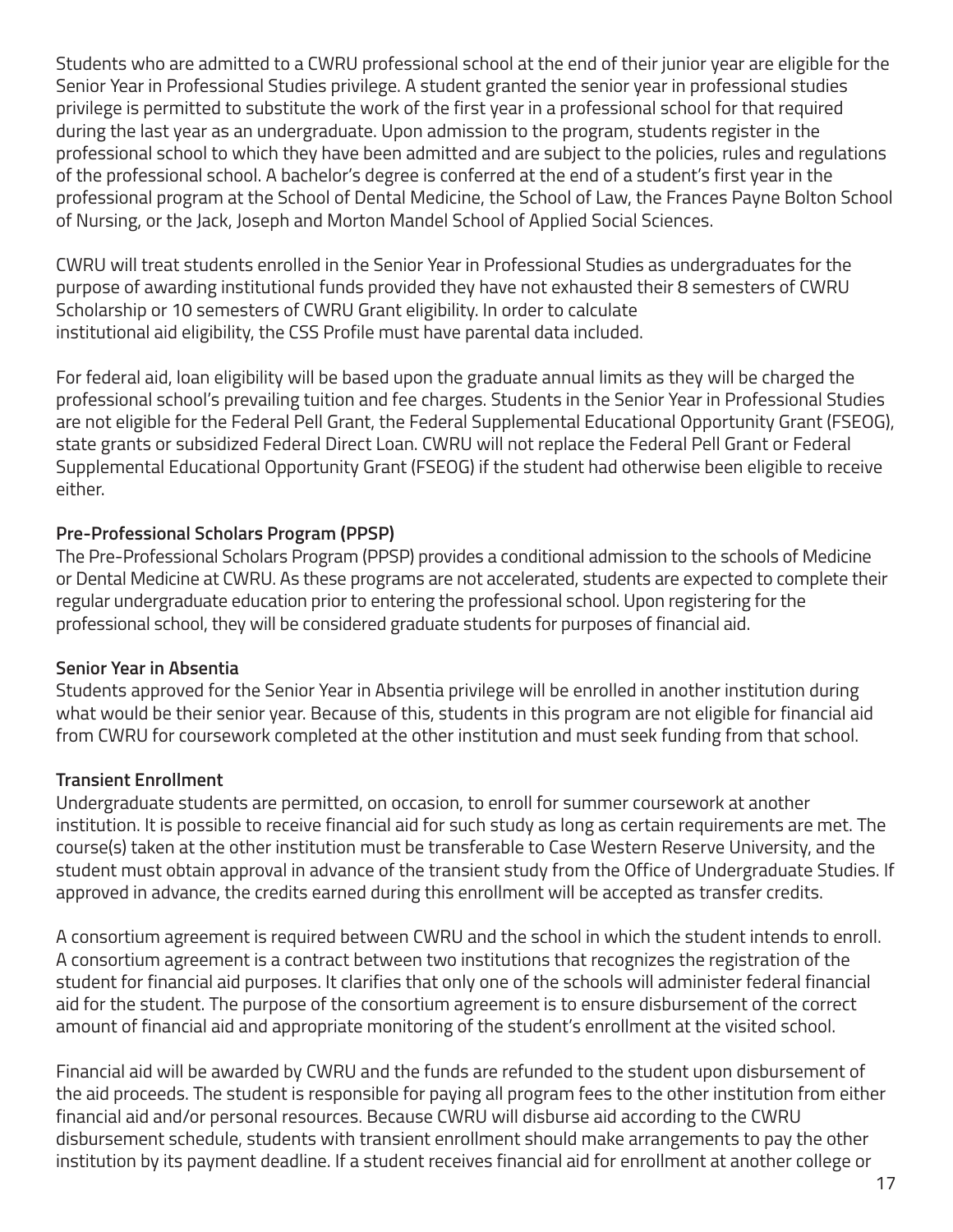Students who are admitted to a CWRU professional school at the end of their junior year are eligible for the Senior Year in Professional Studies privilege. A student granted the senior year in professional studies privilege is permitted to substitute the work of the first year in a professional school for that required during the last year as an undergraduate. Upon admission to the program, students register in the professional school to which they have been admitted and are subject to the policies, rules and regulations of the professional school. A bachelor's degree is conferred at the end of a student's first year in the professional program at the School of Dental Medicine, the School of Law, the Frances Payne Bolton School of Nursing, or the Jack, Joseph and Morton Mandel School of Applied Social Sciences.

CWRU will treat students enrolled in the Senior Year in Professional Studies as undergraduates for the purpose of awarding institutional funds provided they have not exhausted their 8 semesters of CWRU Scholarship or 10 semesters of CWRU Grant eligibility. In order to calculate institutional aid eligibility, the CSS Profile must have parental data included.

For federal aid, loan eligibility will be based upon the graduate annual limits as they will be charged the professional school's prevailing tuition and fee charges. Students in the Senior Year in Professional Studies are not eligible for the Federal Pell Grant, the Federal Supplemental Educational Opportunity Grant (FSEOG), state grants or subsidized Federal Direct Loan. CWRU will not replace the Federal Pell Grant or Federal Supplemental Educational Opportunity Grant (FSEOG) if the student had otherwise been eligible to receive either.

# **Pre-Professional Scholars Program (PPSP)**

The Pre-Professional Scholars Program (PPSP) provides a conditional admission to the schools of Medicine or Dental Medicine at CWRU. As these programs are not accelerated, students are expected to complete their regular undergraduate education prior to entering the professional school. Upon registering for the professional school, they will be considered graduate students for purposes of financial aid.

# **Senior Year in Absentia**

Students approved for the Senior Year in Absentia privilege will be enrolled in another institution during what would be their senior year. Because of this, students in this program are not eligible for financial aid from CWRU for coursework completed at the other institution and must seek funding from that school.

# **Transient Enrollment**

Undergraduate students are permitted, on occasion, to enroll for summer coursework at another institution. It is possible to receive financial aid for such study as long as certain requirements are met. The course(s) taken at the other institution must be transferable to Case Western Reserve University, and the student must obtain approval in advance of the transient study from the Office of Undergraduate Studies. If approved in advance, the credits earned during this enrollment will be accepted as transfer credits.

A consortium agreement is required between CWRU and the school in which the student intends to enroll. A consortium agreement is a contract between two institutions that recognizes the registration of the student for financial aid purposes. It clarifies that only one of the schools will administer federal financial aid for the student. The purpose of the consortium agreement is to ensure disbursement of the correct amount of financial aid and appropriate monitoring of the student's enrollment at the visited school.

Financial aid will be awarded by CWRU and the funds are refunded to the student upon disbursement of the aid proceeds. The student is responsible for paying all program fees to the other institution from either financial aid and/or personal resources. Because CWRU will disburse aid according to the CWRU disbursement schedule, students with transient enrollment should make arrangements to pay the other institution by its payment deadline. If a student receives financial aid for enrollment at another college or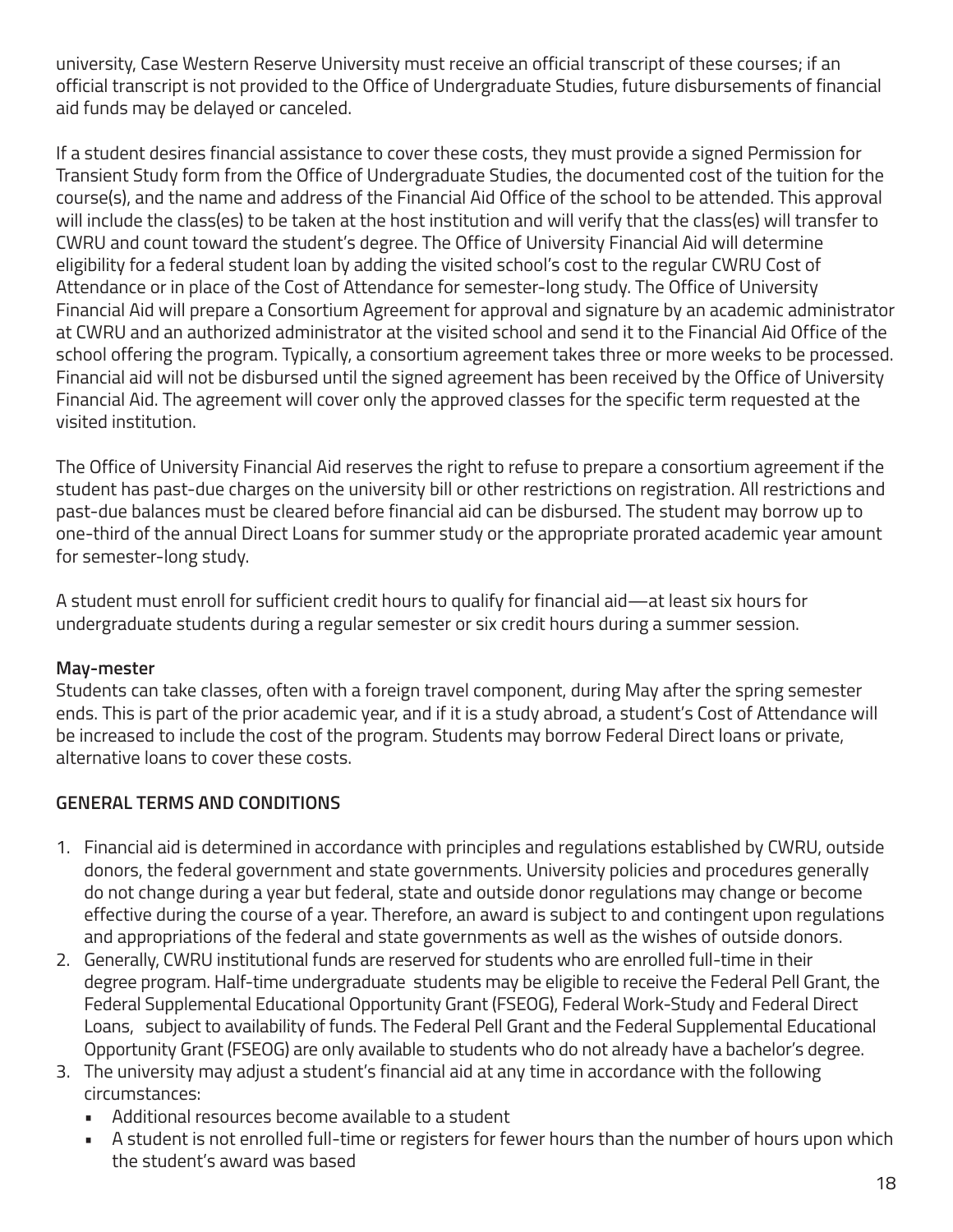university, Case Western Reserve University must receive an official transcript of these courses; if an official transcript is not provided to the Office of Undergraduate Studies, future disbursements of financial aid funds may be delayed or canceled.

If a student desires financial assistance to cover these costs, they must provide a signed Permission for Transient Study form from the Office of Undergraduate Studies, the documented cost of the tuition for the course(s), and the name and address of the Financial Aid Office of the school to be attended. This approval will include the class(es) to be taken at the host institution and will verify that the class(es) will transfer to CWRU and count toward the student's degree. The Office of University Financial Aid will determine eligibility for a federal student loan by adding the visited school's cost to the regular CWRU Cost of Attendance or in place of the Cost of Attendance for semester-long study. The Office of University Financial Aid will prepare a Consortium Agreement for approval and signature by an academic administrator at CWRU and an authorized administrator at the visited school and send it to the Financial Aid Office of the school offering the program. Typically, a consortium agreement takes three or more weeks to be processed. Financial aid will not be disbursed until the signed agreement has been received by the Office of University Financial Aid. The agreement will cover only the approved classes for the specific term requested at the visited institution.

The Office of University Financial Aid reserves the right to refuse to prepare a consortium agreement if the student has past-due charges on the university bill or other restrictions on registration. All restrictions and past-due balances must be cleared before financial aid can be disbursed. The student may borrow up to one-third of the annual Direct Loans for summer study or the appropriate prorated academic year amount for semester-long study.

A student must enroll for sufficient credit hours to qualify for financial aid—at least six hours for undergraduate students during a regular semester or six credit hours during a summer session.

# **May-mester**

Students can take classes, often with a foreign travel component, during May after the spring semester ends. This is part of the prior academic year, and if it is a study abroad, a student's Cost of Attendance will be increased to include the cost of the program. Students may borrow Federal Direct loans or private, alternative loans to cover these costs.

# **GENERAL TERMS AND CONDITIONS**

- 1. Financial aid is determined in accordance with principles and regulations established by CWRU, outside donors, the federal government and state governments. University policies and procedures generally do not change during a year but federal, state and outside donor regulations may change or become effective during the course of a year. Therefore, an award is subject to and contingent upon regulations and appropriations of the federal and state governments as well as the wishes of outside donors.
- 2. Generally, CWRU institutional funds are reserved for students who are enrolled full-time in their degree program. Half-time undergraduate students may be eligible to receive the Federal Pell Grant, the Federal Supplemental Educational Opportunity Grant (FSEOG), Federal Work-Study and Federal Direct Loans, subject to availability of funds. The Federal Pell Grant and the Federal Supplemental Educational Opportunity Grant (FSEOG) are only available to students who do not already have a bachelor's degree.
- 3. The university may adjust a student's financial aid at any time in accordance with the following circumstances:
	- Additional resources become available to a student
	- A student is not enrolled full-time or registers for fewer hours than the number of hours upon which the student's award was based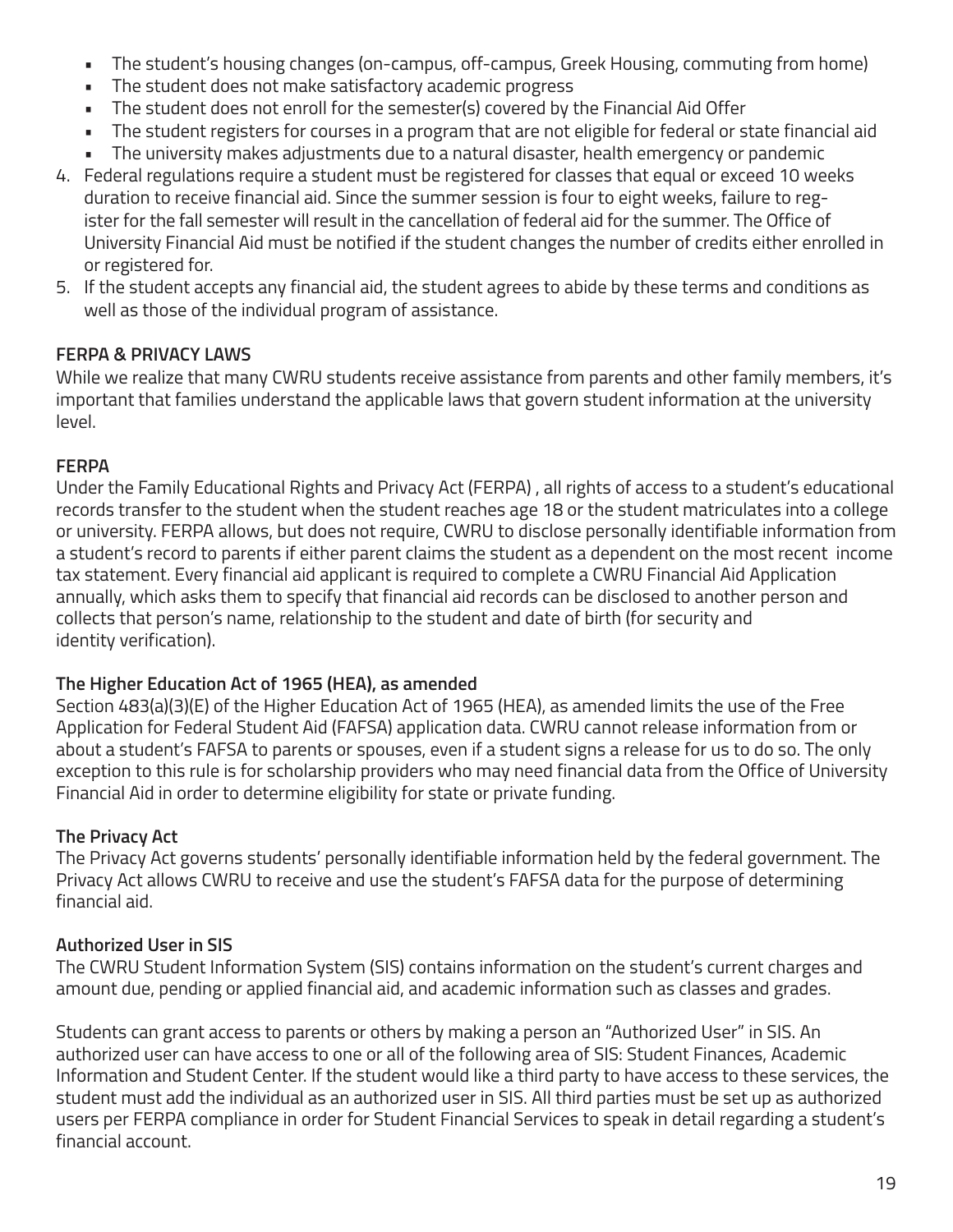- The student's housing changes (on-campus, off-campus, Greek Housing, commuting from home)
- The student does not make satisfactory academic progress
- The student does not enroll for the semester(s) covered by the Financial Aid Offer
- The student registers for courses in a program that are not eligible for federal or state financial aid
- The university makes adjustments due to a natural disaster, health emergency or pandemic
- 4. Federal regulations require a student must be registered for classes that equal or exceed 10 weeks duration to receive financial aid. Since the summer session is four to eight weeks, failure to register for the fall semester will result in the cancellation of federal aid for the summer. The Office of University Financial Aid must be notified if the student changes the number of credits either enrolled in or registered for.
- 5. If the student accepts any financial aid, the student agrees to abide by these terms and conditions as well as those of the individual program of assistance.

# **FERPA & PRIVACY LAWS**

While we realize that many CWRU students receive assistance from parents and other family members, it's important that families understand the applicable laws that govern student information at the university level.

# **FERPA**

Under the Family Educational Rights and Privacy Act (FERPA) , all rights of access to a student's educational records transfer to the student when the student reaches age 18 or the student matriculates into a college or university. FERPA allows, but does not require, CWRU to disclose personally identifiable information from a student's record to parents if either parent claims the student as a dependent on the most recent income tax statement. Every financial aid applicant is required to complete a CWRU Financial Aid Application annually, which asks them to specify that financial aid records can be disclosed to another person and collects that person's name, relationship to the student and date of birth (for security and identity verification).

# **The Higher Education Act of 1965 (HEA), as amended**

Section 483(a)(3)(E) of the Higher Education Act of 1965 (HEA), as amended limits the use of the Free Application for Federal Student Aid (FAFSA) application data. CWRU cannot release information from or about a student's FAFSA to parents or spouses, even if a student signs a release for us to do so. The only exception to this rule is for scholarship providers who may need financial data from the Office of University Financial Aid in order to determine eligibility for state or private funding.

# **The Privacy Act**

The Privacy Act governs students' personally identifiable information held by the federal government. The Privacy Act allows CWRU to receive and use the student's FAFSA data for the purpose of determining financial aid.

# **Authorized User in SIS**

The CWRU Student Information System (SIS) contains information on the student's current charges and amount due, pending or applied financial aid, and academic information such as classes and grades.

Students can grant access to parents or others by making a person an "Authorized User" in SIS. An authorized user can have access to one or all of the following area of SIS: Student Finances, Academic Information and Student Center. If the student would like a third party to have access to these services, the student must add the individual as an authorized user in SIS. All third parties must be set up as authorized users per FERPA compliance in order for Student Financial Services to speak in detail regarding a student's financial account.